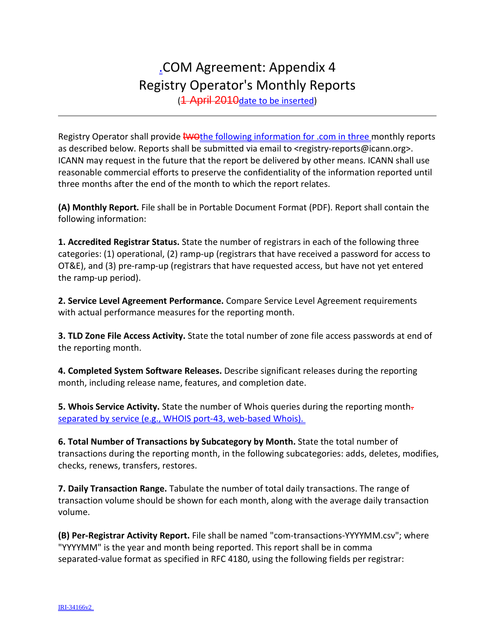# .COM Agreement: Appendix 4 Registry Operator's Monthly Reports

(1 April 2010date to be inserted)

Registry Operator shall provide twothe following information for .com in three monthly reports as described below. Reports shall be submitted via email to <registry-reports@icann.org>. ICANN may request in the future that the report be delivered by other means. ICANN shall use reasonable commercial efforts to preserve the confidentiality of the information reported until three months after the end of the month to which the report relates.

**(A) Monthly Report.** File shall be in Portable Document Format (PDF). Report shall contain the following information:

**1. Accredited Registrar Status.** State the number of registrars in each of the following three categories: (1) operational, (2) ramp-up (registrars that have received a password for access to OT&E), and (3) pre-ramp-up (registrars that have requested access, but have not yet entered the ramp-up period).

**2. Service Level Agreement Performance.** Compare Service Level Agreement requirements with actual performance measures for the reporting month.

**3. TLD Zone File Access Activity.** State the total number of zone file access passwords at end of the reporting month.

**4. Completed System Software Releases.** Describe significant releases during the reporting month, including release name, features, and completion date.

**5. Whois Service Activity.** State the number of Whois queries during the reporting month. separated by service (e.g., WHOIS port-43, web-based Whois).

**6. Total Number of Transactions by Subcategory by Month.** State the total number of transactions during the reporting month, in the following subcategories: adds, deletes, modifies, checks, renews, transfers, restores.

**7. Daily Transaction Range.** Tabulate the number of total daily transactions. The range of transaction volume should be shown for each month, along with the average daily transaction volume.

**(B) Per-Registrar Activity Report.** File shall be named "com-transactions-YYYYMM.csv"; where "YYYYMM" is the year and month being reported. This report shall be in comma separated-value format as specified in RFC 4180, using the following fields per registrar: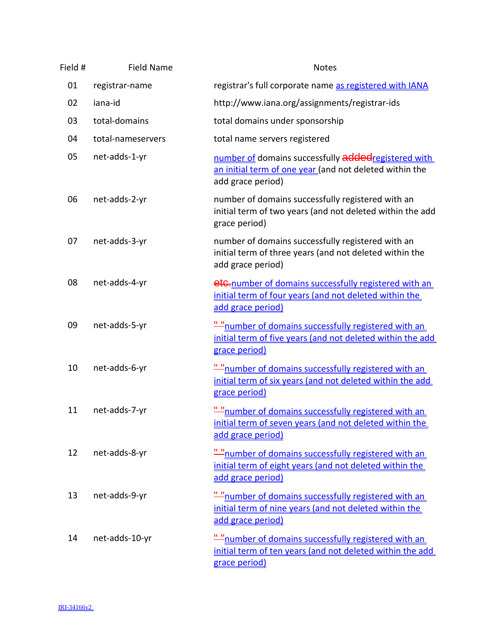| Field # | <b>Field Name</b> | <b>Notes</b>                                                                                                                                |
|---------|-------------------|---------------------------------------------------------------------------------------------------------------------------------------------|
| 01      | registrar-name    | registrar's full corporate name as registered with IANA                                                                                     |
| 02      | iana-id           | http://www.iana.org/assignments/registrar-ids                                                                                               |
| 03      | total-domains     | total domains under sponsorship                                                                                                             |
| 04      | total-nameservers | total name servers registered                                                                                                               |
| 05      | net-adds-1-yr     | number of domains successfully addedregistered with<br>an initial term of one year (and not deleted within the<br>add grace period)         |
| 06      | net-adds-2-yr     | number of domains successfully registered with an<br>initial term of two years (and not deleted within the add<br>grace period)             |
| 07      | net-adds-3-yr     | number of domains successfully registered with an<br>initial term of three years (and not deleted within the<br>add grace period)           |
| 08      | net-adds-4-yr     | etc-number of domains successfully registered with an<br>initial term of four years (and not deleted within the<br>add grace period)        |
| 09      | net-adds-5-yr     | <u>"unumber of domains successfully registered with an</u><br>initial term of five years (and not deleted within the add<br>grace period)   |
| 10      | net-adds-6-yr     | <u>"-"number of domains successfully registered with an</u><br>initial term of six years (and not deleted within the add<br>grace period)   |
| 11      | net-adds-7-yr     | <u>" "number of domains successfully registered with an</u><br>initial term of seven years (and not deleted within the<br>add grace period) |
| 12      | net-adds-8-yr     | <u>" "number of domains successfully registered with an</u><br>initial term of eight years (and not deleted within the<br>add grace period) |
| 13      | net-adds-9-yr     | <u>" "number of domains successfully registered with an</u><br>initial term of nine years (and not deleted within the<br>add grace period)  |
| 14      | net-adds-10-yr    | <u>" "number of domains successfully registered with an</u><br>initial term of ten years (and not deleted within the add<br>grace period)   |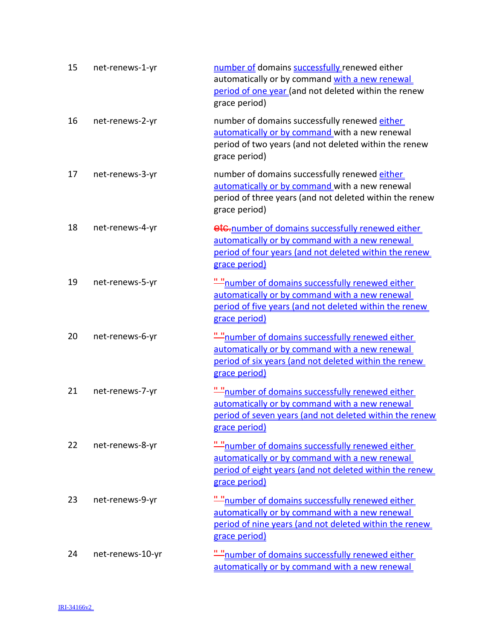| 15 | net-renews-1-yr  | number of domains successfully renewed either<br>automatically or by command with a new renewal<br>period of one year (and not deleted within the renew<br>grace period)             |
|----|------------------|--------------------------------------------------------------------------------------------------------------------------------------------------------------------------------------|
| 16 | net-renews-2-yr  | number of domains successfully renewed either<br>automatically or by command with a new renewal<br>period of two years (and not deleted within the renew<br>grace period)            |
| 17 | net-renews-3-yr  | number of domains successfully renewed either<br>automatically or by command with a new renewal<br>period of three years (and not deleted within the renew<br>grace period)          |
| 18 | net-renews-4-yr  | etc.number of domains successfully renewed either<br>automatically or by command with a new renewal<br>period of four years (and not deleted within the renew<br>grace period)       |
| 19 | net-renews-5-yr  | <u>"-"number of domains successfully renewed either</u><br>automatically or by command with a new renewal<br>period of five years (and not deleted within the renew<br>grace period) |
| 20 | net-renews-6-yr  | "-"number of domains successfully renewed either<br>automatically or by command with a new renewal<br>period of six years (and not deleted within the renew<br>grace period)         |
| 21 | net-renews-7-yr  | <u>"Thumber of domains successfully renewed either</u><br>automatically or by command with a new renewal<br>period of seven years (and not deleted within the renew<br>grace period) |
| 22 | net-renews-8-yr  | " "number of domains successfully renewed either<br>automatically or by command with a new renewal<br>period of eight years (and not deleted within the renew<br>grace period)       |
| 23 | net-renews-9-yr  | <u>"-"number of domains successfully renewed either</u><br>automatically or by command with a new renewal<br>period of nine years (and not deleted within the renew<br>grace period) |
| 24 | net-renews-10-yr | " "number of domains successfully renewed either<br>automatically or by command with a new renewal                                                                                   |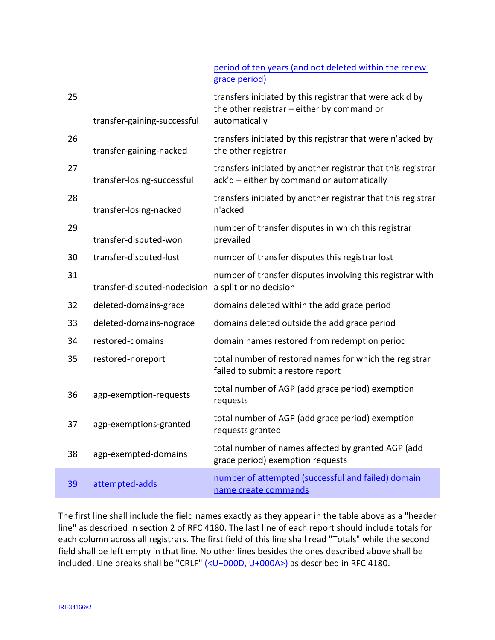|           |                              | period of ten years (and not deleted within the renew<br>grace period)                                                  |
|-----------|------------------------------|-------------------------------------------------------------------------------------------------------------------------|
| 25        | transfer-gaining-successful  | transfers initiated by this registrar that were ack'd by<br>the other registrar - either by command or<br>automatically |
| 26        | transfer-gaining-nacked      | transfers initiated by this registrar that were n'acked by<br>the other registrar                                       |
| 27        | transfer-losing-successful   | transfers initiated by another registrar that this registrar<br>ack'd - either by command or automatically              |
| 28        | transfer-losing-nacked       | transfers initiated by another registrar that this registrar<br>n'acked                                                 |
| 29        | transfer-disputed-won        | number of transfer disputes in which this registrar<br>prevailed                                                        |
| 30        | transfer-disputed-lost       | number of transfer disputes this registrar lost                                                                         |
| 31        | transfer-disputed-nodecision | number of transfer disputes involving this registrar with<br>a split or no decision                                     |
| 32        | deleted-domains-grace        | domains deleted within the add grace period                                                                             |
| 33        | deleted-domains-nograce      | domains deleted outside the add grace period                                                                            |
| 34        | restored-domains             | domain names restored from redemption period                                                                            |
| 35        | restored-noreport            | total number of restored names for which the registrar<br>failed to submit a restore report                             |
| 36        | agp-exemption-requests       | total number of AGP (add grace period) exemption<br>requests                                                            |
| 37        | agp-exemptions-granted       | total number of AGP (add grace period) exemption<br>requests granted                                                    |
| 38        | agp-exempted-domains         | total number of names affected by granted AGP (add<br>grace period) exemption requests                                  |
| <u>39</u> | attempted-adds               | number of attempted (successful and failed) domain                                                                      |

The first line shall include the field names exactly as they appear in the table above as a "header line" as described in section 2 of RFC 4180. The last line of each report should include totals for each column across all registrars. The first field of this line shall read "Totals" while the second field shall be left empty in that line. No other lines besides the ones described above shall be included. Line breaks shall be "CRLF"  $\underline{< U+000D, U+000A>}$  as described in RFC 4180.

name create commands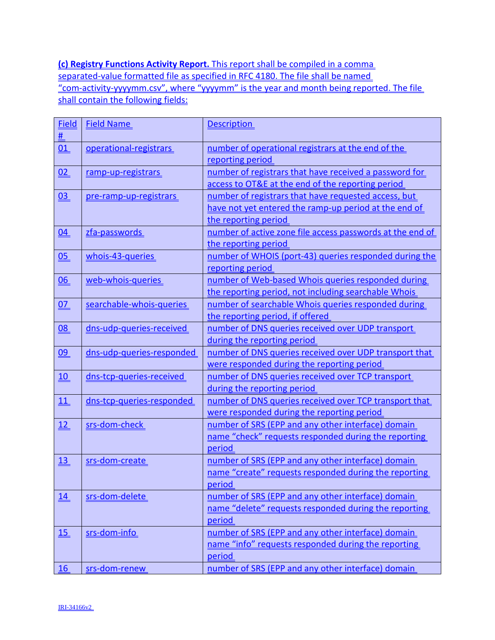## **(c) Registry Functions Activity Report.** This report shall be compiled in a comma separated-value formatted file as specified in RFC 4180. The file shall be named "com-activity-yyyymm.csv", where "yyyymm" is the year and month being reported. The file shall contain the following fields:

| <b>Field</b><br>#         | <b>Field Name</b>         | <b>Description</b>                                                                                                                    |
|---------------------------|---------------------------|---------------------------------------------------------------------------------------------------------------------------------------|
| 01                        | operational-registrars    | number of operational registrars at the end of the<br>reporting period                                                                |
| $\underline{02}$          | ramp-up-registrars        | number of registrars that have received a password for<br>access to OT&E at the end of the reporting period                           |
| $\underline{03}$          | pre-ramp-up-registrars    | number of registrars that have requested access, but<br>have not yet entered the ramp-up period at the end of<br>the reporting period |
| 04                        | zfa-passwords             | number of active zone file access passwords at the end of<br>the reporting period                                                     |
| $\underline{\mathsf{05}}$ | whois-43-queries          | number of WHOIS (port-43) queries responded during the<br>reporting period                                                            |
| $\underline{\mathsf{06}}$ | web-whois-queries         | number of Web-based Whois queries responded during<br>the reporting period, not including searchable Whois                            |
| 07                        | searchable-whois-queries  | number of searchable Whois queries responded during<br>the reporting period, if offered                                               |
| <u>08</u>                 | dns-udp-queries-received  | number of DNS queries received over UDP transport<br>during the reporting period                                                      |
| <u>09 </u>                | dns-udp-queries-responded | number of DNS queries received over UDP transport that<br>were responded during the reporting period                                  |
| <u>10</u>                 | dns-tcp-queries-received  | number of DNS queries received over TCP transport<br>during the reporting period                                                      |
| <u> 11</u>                | dns-tcp-queries-responded | number of DNS queries received over TCP transport that<br>were responded during the reporting period                                  |
| 12                        | srs-dom-check             | number of SRS (EPP and any other interface) domain<br>name "check" requests responded during the reporting<br>period                  |
| <u> 13 </u>               | srs-dom-create            | number of SRS (EPP and any other interface) domain<br>name "create" requests responded during the reporting<br>period                 |
| $\underline{14}$          | srs-dom-delete            | number of SRS (EPP and any other interface) domain<br>name "delete" requests responded during the reporting<br>period                 |
| <u>15</u>                 | srs-dom-info              | number of SRS (EPP and any other interface) domain<br>name "info" requests responded during the reporting<br>period                   |
| 16                        | srs-dom-renew             | number of SRS (EPP and any other interface) domain                                                                                    |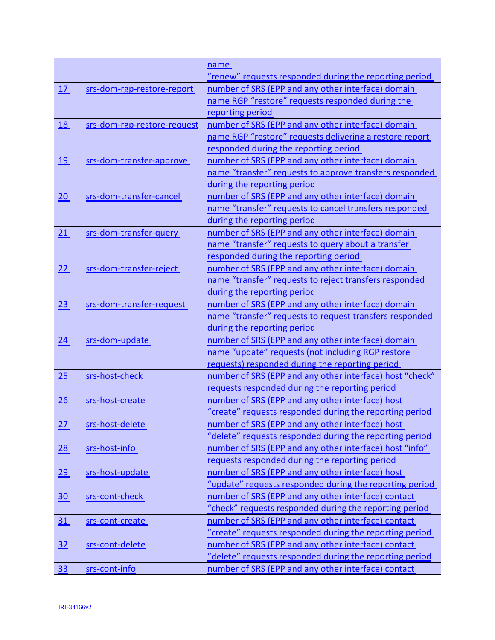|                  |                             | <u>name</u>                                              |  |  |
|------------------|-----------------------------|----------------------------------------------------------|--|--|
|                  |                             | "renew" requests responded during the reporting period   |  |  |
| 17               | srs-dom-rgp-restore-report  | number of SRS (EPP and any other interface) domain       |  |  |
|                  |                             | name RGP "restore" requests responded during the         |  |  |
|                  |                             | reporting period                                         |  |  |
| <u>18</u>        | srs-dom-rgp-restore-request | number of SRS (EPP and any other interface) domain       |  |  |
|                  |                             | name RGP "restore" requests delivering a restore report  |  |  |
|                  |                             | responded during the reporting period                    |  |  |
| <u> 19 </u>      | srs-dom-transfer-approve    | number of SRS (EPP and any other interface) domain       |  |  |
|                  |                             | name "transfer" requests to approve transfers responded  |  |  |
|                  |                             | during the reporting period                              |  |  |
| <u>20</u>        | srs-dom-transfer-cancel     | number of SRS (EPP and any other interface) domain       |  |  |
|                  |                             | name "transfer" requests to cancel transfers responded   |  |  |
|                  |                             | during the reporting period                              |  |  |
| 21               | srs-dom-transfer-query      | number of SRS (EPP and any other interface) domain       |  |  |
|                  |                             | name "transfer" requests to query about a transfer       |  |  |
|                  |                             | responded during the reporting period                    |  |  |
| 22               | srs-dom-transfer-reject     | number of SRS (EPP and any other interface) domain       |  |  |
|                  |                             | name "transfer" requests to reject transfers responded   |  |  |
|                  |                             | during the reporting period                              |  |  |
| <u>23  </u>      | srs-dom-transfer-request    | number of SRS (EPP and any other interface) domain       |  |  |
|                  |                             | name "transfer" requests to request transfers responded  |  |  |
|                  |                             | during the reporting period                              |  |  |
| <u>24  </u>      | srs-dom-update              | number of SRS (EPP and any other interface) domain       |  |  |
|                  |                             | name "update" requests (not including RGP restore        |  |  |
|                  |                             | requests) responded during the reporting period          |  |  |
| 25               | srs-host-check              | number of SRS (EPP and any other interface) host "check" |  |  |
|                  |                             | requests responded during the reporting period           |  |  |
| <u> 26 </u>      | srs-host-create             | number of SRS (EPP and any other interface) host         |  |  |
|                  |                             | "create" requests responded during the reporting period  |  |  |
| <u> 27 </u>      | srs-host-delete             | number of SRS (EPP and any other interface) host         |  |  |
|                  |                             | "delete" requests responded during the reporting period  |  |  |
| 28               | srs-host-info               | number of SRS (EPP and any other interface) host "info"  |  |  |
|                  |                             | requests responded during the reporting period           |  |  |
| <u> 29 </u>      | srs-host-update             | number of SRS (EPP and any other interface) host         |  |  |
|                  |                             | "update" requests responded during the reporting period  |  |  |
| $\underline{30}$ | srs-cont-check              | number of SRS (EPP and any other interface) contact      |  |  |
|                  |                             | "check" requests responded during the reporting period   |  |  |
| 31               | srs-cont-create             | number of SRS (EPP and any other interface) contact      |  |  |
|                  |                             | "create" requests responded during the reporting period  |  |  |
| $\overline{32}$  | srs-cont-delete             | number of SRS (EPP and any other interface) contact      |  |  |
|                  |                             | "delete" requests responded during the reporting period  |  |  |
| 33               | srs-cont-info               | number of SRS (EPP and any other interface) contact      |  |  |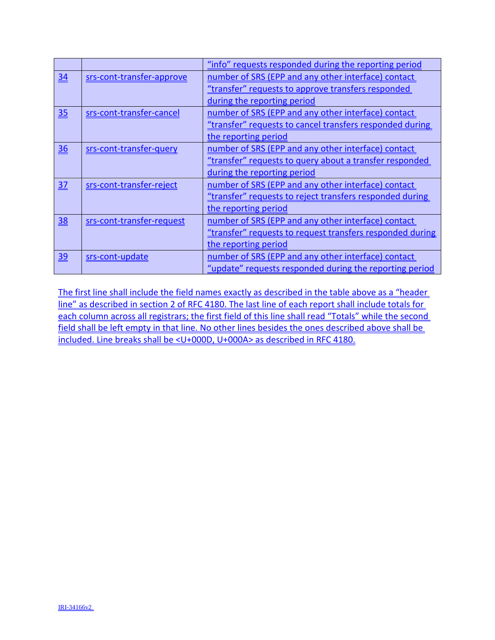|                              |                           | "info" requests responded during the reporting period     |  |  |  |
|------------------------------|---------------------------|-----------------------------------------------------------|--|--|--|
| $\frac{34}{5}$               | srs-cont-transfer-approve | number of SRS (EPP and any other interface) contact       |  |  |  |
|                              |                           | "transfer" requests to approve transfers responded        |  |  |  |
|                              |                           | during the reporting period                               |  |  |  |
| 35                           | srs-cont-transfer-cancel  | number of SRS (EPP and any other interface) contact       |  |  |  |
|                              |                           | "transfer" requests to cancel transfers responded during  |  |  |  |
|                              |                           | the reporting period                                      |  |  |  |
| $\underline{\underline{36}}$ | srs-cont-transfer-query   | number of SRS (EPP and any other interface) contact       |  |  |  |
|                              |                           | "transfer" requests to query about a transfer responded   |  |  |  |
|                              |                           | during the reporting period                               |  |  |  |
| 37                           | srs-cont-transfer-reject  | number of SRS (EPP and any other interface) contact       |  |  |  |
|                              |                           | "transfer" requests to reject transfers responded during  |  |  |  |
|                              |                           | the reporting period                                      |  |  |  |
| $\frac{38}{2}$               | srs-cont-transfer-request | number of SRS (EPP and any other interface) contact       |  |  |  |
|                              |                           | "transfer" requests to request transfers responded during |  |  |  |
|                              |                           | the reporting period                                      |  |  |  |
| <u>39</u>                    | srs-cont-update           | number of SRS (EPP and any other interface) contact       |  |  |  |
|                              |                           | "update" requests responded during the reporting period   |  |  |  |

The first line shall include the field names exactly as described in the table above as a "header line" as described in section 2 of RFC 4180. The last line of each report shall include totals for each column across all registrars; the first field of this line shall read "Totals" while the second field shall be left empty in that line. No other lines besides the ones described above shall be included. Line breaks shall be <U+000D, U+000A> as described in RFC 4180.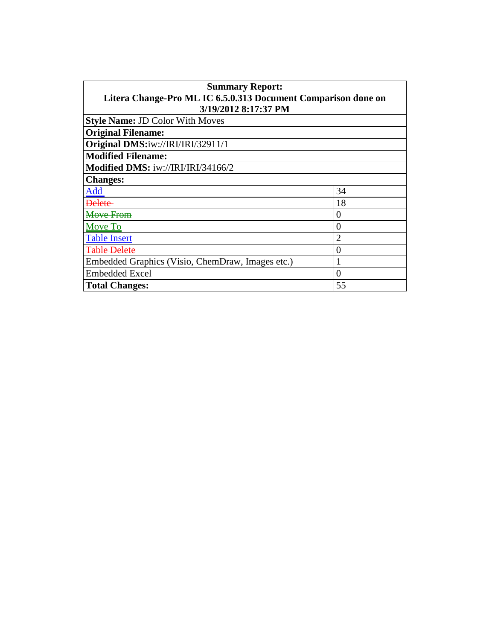| <b>Summary Report:</b>                                        |                |  |  |
|---------------------------------------------------------------|----------------|--|--|
| Litera Change-Pro ML IC 6.5.0.313 Document Comparison done on |                |  |  |
| 3/19/2012 8:17:37 PM                                          |                |  |  |
| <b>Style Name: JD Color With Moves</b>                        |                |  |  |
| <b>Original Filename:</b>                                     |                |  |  |
| Original DMS:iw://IRI/IRI/32911/1                             |                |  |  |
| <b>Modified Filename:</b>                                     |                |  |  |
| Modified DMS: iw://IRI/IRI/34166/2                            |                |  |  |
| <b>Changes:</b>                                               |                |  |  |
| Add                                                           | 34             |  |  |
| جراما                                                         | 18             |  |  |
| Move From                                                     | U              |  |  |
| Move To                                                       | O              |  |  |
| <b>Table Insert</b>                                           | $\overline{2}$ |  |  |
| <b>Table Delete</b>                                           | O              |  |  |
| Embedded Graphics (Visio, ChemDraw, Images etc.)              |                |  |  |
| <b>Embedded Excel</b>                                         | 0              |  |  |
| <b>Total Changes:</b>                                         | 55             |  |  |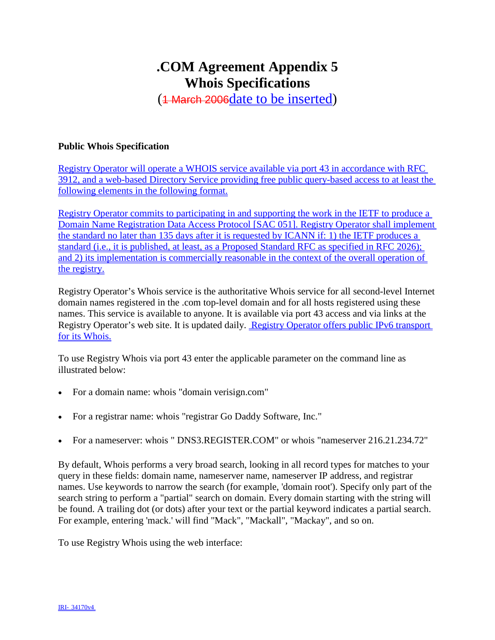# **.COM Agreement Appendix 5 Whois Specifications**

(1 March 2006date to be inserted)

#### **Public Whois Specification**

Registry Operator will operate a WHOIS service available via port 43 in accordance with RFC 3912, and a web-based Directory Service providing free public query-based access to at least the following elements in the following format.

Registry Operator commits to participating in and supporting the work in the IETF to produce a Domain Name Registration Data Access Protocol [SAC 051]. Registry Operator shall implement the standard no later than 135 days after it is requested by ICANN if: 1) the IETF produces a standard (i.e., it is published, at least, as a Proposed Standard RFC as specified in RFC 2026); and 2) its implementation is commercially reasonable in the context of the overall operation of the registry.

Registry Operator's Whois service is the authoritative Whois service for all second-level Internet domain names registered in the .com top-level domain and for all hosts registered using these names. This service is available to anyone. It is available via port 43 access and via links at the Registry Operator's web site. It is updated daily. Registry Operator offers public IPv6 transport for its Whois.

To use Registry Whois via port 43 enter the applicable parameter on the command line as illustrated below:

- For a domain name: whois "domain verisign.com"
- For a registrar name: whois "registrar Go Daddy Software, Inc."
- For a nameserver: whois " DNS3.REGISTER.COM" or whois "nameserver 216.21.234.72"

By default, Whois performs a very broad search, looking in all record types for matches to your query in these fields: domain name, nameserver name, nameserver IP address, and registrar names. Use keywords to narrow the search (for example, 'domain root'). Specify only part of the search string to perform a "partial" search on domain. Every domain starting with the string will be found. A trailing dot (or dots) after your text or the partial keyword indicates a partial search. For example, entering 'mack.' will find "Mack", "Mackall", "Mackay", and so on.

To use Registry Whois using the web interface: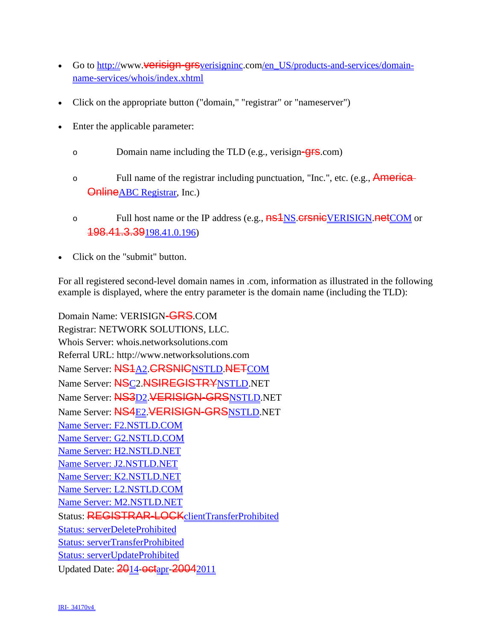- Go to [http://www.](http://www.verisigninc.com/en_US/products-and-services/domain-name-services/whois/index.xhtml)verisign-grs[verisigninc.com/en\\_US/products-and-services/domain](http://www.verisigninc.com/en_US/products-and-services/domain-name-services/whois/index.xhtml)[name-services/whois/index.xhtml](http://www.verisigninc.com/en_US/products-and-services/domain-name-services/whois/index.xhtml)
- Click on the appropriate button ("domain," "registrar" or "nameserver")
- Enter the applicable parameter:
	- o Domain name including the TLD (e.g., verisign-GFS.com)
	- o Full name of the registrar including punctuation, "Inc.", etc. (e.g., **America OnlineABC Registrar, Inc.)**
	- o Full host name or the IP address (e.g., **AS1NS. CASTIGO FIGUAL ACTION** or 198.41.3.39198.41.0.196)
- Click on the "submit" button.

For all registered second-level domain names in .com, information as illustrated in the following example is displayed, where the entry parameter is the domain name (including the TLD):

Domain Name: VERISIGN-GRS.COM Registrar: NETWORK SOLUTIONS, LLC. Whois Server: whois.networksolutions.com Referral URL: http://www.networksolutions.com Name Server: NS<sub>1</sub>A<sub>2</sub>.CRSNICNSTLD.NETCOM Name Server: NSC2.NSIREGISTRYNSTLD.NET Name Server: NS3D2. VERISIGN-GRSNSTLD.NET Name Server: NS4E2. VERISIGN-GRSNSTLD.NET Name Server: F2.NSTLD.COM Name Server: G2.NSTLD.COM Name Server: H2.NSTLD.NET Name Server: J2.NSTLD.NET Name Server: K2.NSTLD.NET Name Server: L2.NSTLD.COM Name Server: M2.NSTLD.NET Status: REGISTRAR-LOCKclientTransferProhibited Status: serverDeleteProhibited Status: serverTransferProhibited Status: serverUpdateProhibited Updated Date: 2014-06tapr-20042011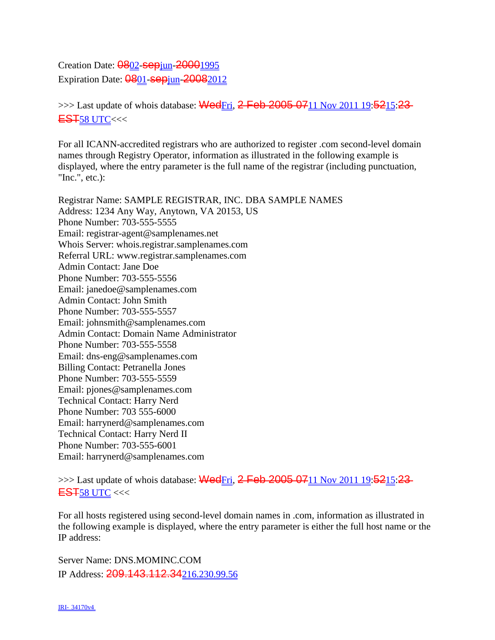Creation Date:  $\frac{0.025}{0.025}$  Sep<sub>jun</sub>-2000<sub>1995</sub> Expiration Date: 0801-sepjun-20082012

 $\gg$  Last update of whois database: WedFri, 2 Feb 2005 0711 Nov 2011 19:5215:23  $EST_{58}$  UTC $<<$ 

For all ICANN-accredited registrars who are authorized to register .com second-level domain names through Registry Operator, information as illustrated in the following example is displayed, where the entry parameter is the full name of the registrar (including punctuation, "Inc.", etc.):

Registrar Name: SAMPLE REGISTRAR, INC. DBA SAMPLE NAMES Address: 1234 Any Way, Anytown, VA 20153, US Phone Number: 703-555-5555 Email: registrar-agent@samplenames.net Whois Server: whois.registrar.samplenames.com Referral URL: www.registrar.samplenames.com Admin Contact: Jane Doe Phone Number: 703-555-5556 Email: janedoe@samplenames.com Admin Contact: John Smith Phone Number: 703-555-5557 Email: johnsmith@samplenames.com Admin Contact: Domain Name Administrator Phone Number: 703-555-5558 Email: dns-eng@samplenames.com Billing Contact: Petranella Jones Phone Number: 703-555-5559 Email: pjones@samplenames.com Technical Contact: Harry Nerd Phone Number: 703 555-6000 Email: harrynerd@samplenames.com Technical Contact: Harry Nerd II Phone Number: 703-555-6001 Email: harrynerd@samplenames.com

 $\gg$  Last update of whois database: WedFri, 2 Feb 2005 0711 Nov 2011 19:5215:23  $EST58$  UTC <<<

For all hosts registered using second-level domain names in .com, information as illustrated in the following example is displayed, where the entry parameter is either the full host name or the IP address:

Server Name: DNS.MOMINC.COM IP Address: 209.143.112.34216.230.99.56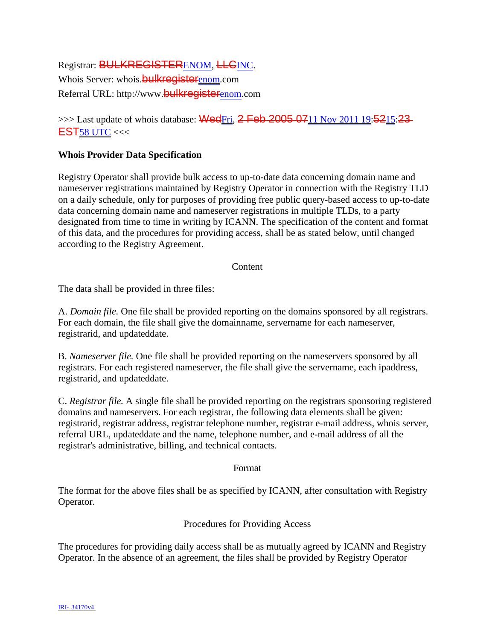# Registrar: BULKREGISTERENOM, LLCINC. Whois Server: whois.bulkregisterenom.com Referral URL: http://www.**bulkregister**enom.com

 $\gg$  Last update of whois database: WedFri, 2 Feb 2005 0711 Nov 2011 19:5215:23  $EST<sub>58</sub>$  UTC <<<

#### **Whois Provider Data Specification**

Registry Operator shall provide bulk access to up-to-date data concerning domain name and nameserver registrations maintained by Registry Operator in connection with the Registry TLD on a daily schedule, only for purposes of providing free public query-based access to up-to-date data concerning domain name and nameserver registrations in multiple TLDs, to a party designated from time to time in writing by ICANN. The specification of the content and format of this data, and the procedures for providing access, shall be as stated below, until changed according to the Registry Agreement.

#### **Content**

The data shall be provided in three files:

A. *Domain file.* One file shall be provided reporting on the domains sponsored by all registrars. For each domain, the file shall give the domainname, servername for each nameserver, registrarid, and updateddate.

B. *Nameserver file.* One file shall be provided reporting on the nameservers sponsored by all registrars. For each registered nameserver, the file shall give the servername, each ipaddress, registrarid, and updateddate.

C. *Registrar file.* A single file shall be provided reporting on the registrars sponsoring registered domains and nameservers. For each registrar, the following data elements shall be given: registrarid, registrar address, registrar telephone number, registrar e-mail address, whois server, referral URL, updateddate and the name, telephone number, and e-mail address of all the registrar's administrative, billing, and technical contacts.

#### Format

The format for the above files shall be as specified by ICANN, after consultation with Registry Operator.

#### Procedures for Providing Access

The procedures for providing daily access shall be as mutually agreed by ICANN and Registry Operator. In the absence of an agreement, the files shall be provided by Registry Operator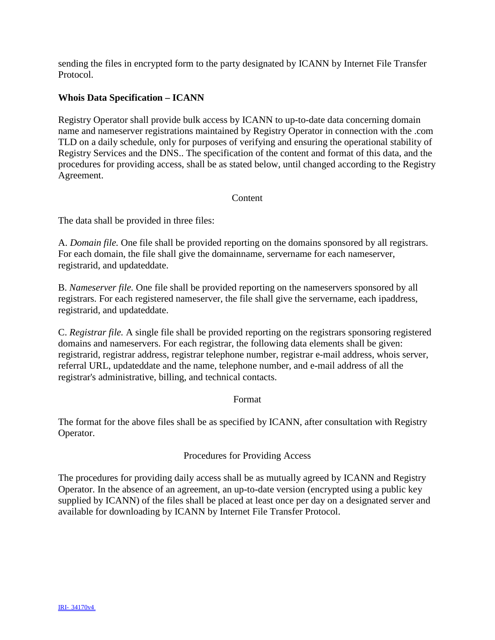sending the files in encrypted form to the party designated by ICANN by Internet File Transfer Protocol.

## **Whois Data Specification – ICANN**

Registry Operator shall provide bulk access by ICANN to up-to-date data concerning domain name and nameserver registrations maintained by Registry Operator in connection with the .com TLD on a daily schedule, only for purposes of verifying and ensuring the operational stability of Registry Services and the DNS.. The specification of the content and format of this data, and the procedures for providing access, shall be as stated below, until changed according to the Registry Agreement.

#### Content

The data shall be provided in three files:

A. *Domain file.* One file shall be provided reporting on the domains sponsored by all registrars. For each domain, the file shall give the domainname, servername for each nameserver, registrarid, and updateddate.

B. *Nameserver file.* One file shall be provided reporting on the nameservers sponsored by all registrars. For each registered nameserver, the file shall give the servername, each ipaddress, registrarid, and updateddate.

C. *Registrar file.* A single file shall be provided reporting on the registrars sponsoring registered domains and nameservers. For each registrar, the following data elements shall be given: registrarid, registrar address, registrar telephone number, registrar e-mail address, whois server, referral URL, updateddate and the name, telephone number, and e-mail address of all the registrar's administrative, billing, and technical contacts.

## Format

The format for the above files shall be as specified by ICANN, after consultation with Registry Operator.

## Procedures for Providing Access

The procedures for providing daily access shall be as mutually agreed by ICANN and Registry Operator. In the absence of an agreement, an up-to-date version (encrypted using a public key supplied by ICANN) of the files shall be placed at least once per day on a designated server and available for downloading by ICANN by Internet File Transfer Protocol.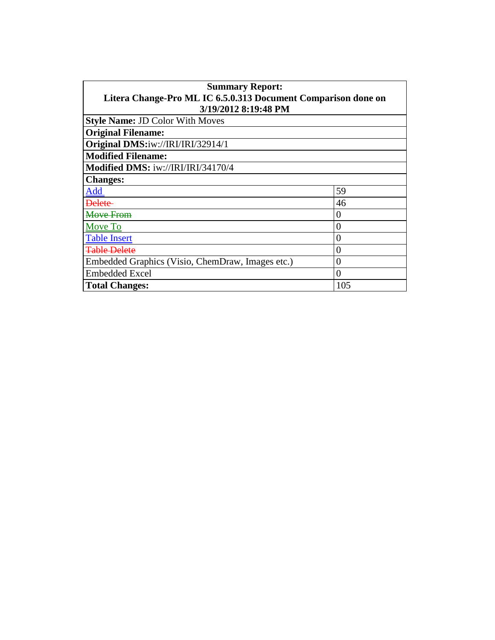| <b>Summary Report:</b>                                        |     |  |  |
|---------------------------------------------------------------|-----|--|--|
| Litera Change-Pro ML IC 6.5.0.313 Document Comparison done on |     |  |  |
| 3/19/2012 8:19:48 PM                                          |     |  |  |
| <b>Style Name: JD Color With Moves</b>                        |     |  |  |
| <b>Original Filename:</b>                                     |     |  |  |
| Original DMS:iw://IRI/IRI/32914/1                             |     |  |  |
| <b>Modified Filename:</b>                                     |     |  |  |
| Modified DMS: iw://IRI/IRI/34170/4                            |     |  |  |
| <b>Changes:</b>                                               |     |  |  |
| Add                                                           | 59  |  |  |
| جهام                                                          | 46  |  |  |
| Move From                                                     | U   |  |  |
| Move To                                                       | 0   |  |  |
| <b>Table Insert</b>                                           | 0   |  |  |
| <b>Table Delete</b>                                           | O   |  |  |
| Embedded Graphics (Visio, ChemDraw, Images etc.)              | 0   |  |  |
| <b>Embedded Excel</b>                                         | 0   |  |  |
| <b>Total Changes:</b>                                         | 105 |  |  |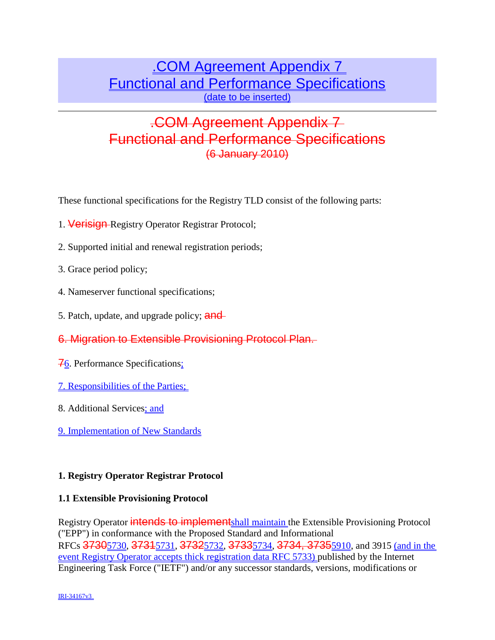# .COM Agreement Appendix 7 Functional and Performance Specifications (date to be inserted)

# .COM Agreement Appendix 7 Functional and Performance Specifications (6 January 2010)

These functional specifications for the Registry TLD consist of the following parts:

- 1. Verisign-Registry Operator Registrar Protocol;
- 2. Supported initial and renewal registration periods;
- 3. Grace period policy;
- 4. Nameserver functional specifications;
- 5. Patch, update, and upgrade policy; **and**
- 6. Migration to Extensible Provisioning Protocol Plan.
- **76.** Performance Specifications;
- 7. Responsibilities of the Parties;
- 8. Additional Services; and
- 9. Implementation of New Standards

## **1. Registry Operator Registrar Protocol**

## **1.1 Extensible Provisioning Protocol**

Registry Operator **intends to implement** shall maintain the Extensible Provisioning Protocol ("EPP") in conformance with the Proposed Standard and Informational RFCs 37305730, 37315731, 37325732, 37335734, 3734, 37355910, and 3915 (and in the event Registry Operator accepts thick registration data RFC 5733) published by the Internet Engineering Task Force ("IETF") and/or any successor standards, versions, modifications or

IRI-34167v3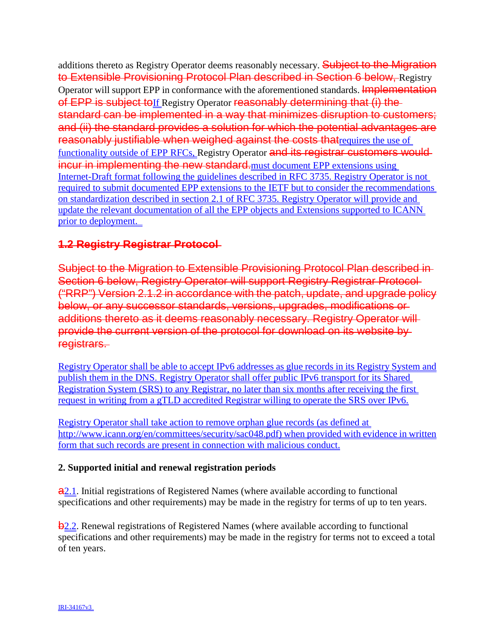additions thereto as Registry Operator deems reasonably necessary. Subject to the Migration to Extensible Provisioning Protocol Plan described in Section 6 below, Registry Operator will support EPP in conformance with the aforementioned standards. **Implementation** of EPP is subject to If Registry Operator reasonably determining that (i) the standard can be implemented in a way that minimizes disruption to customers; and (ii) the standard provides a solution for which the potential advantages are reasonably justifiable when weighed against the costs that requires the use of functionality outside of EPP RFCs, Registry Operator and its registrar customers wouldincur in implementing the new standard.must document EPP extensions using Internet-Draft format following the guidelines described in RFC 3735. Registry Operator is not required to submit documented EPP extensions to the IETF but to consider the recommendations on standardization described in section 2.1 of RFC 3735. Registry Operator will provide and update the relevant documentation of all the EPP objects and Extensions supported to ICANN prior to deployment.

# **1.2 Registry Registrar Protocol**

Subject to the Migration to Extensible Provisioning Protocol Plan described in Section 6 below, Registry Operator will support Registry Registrar Protocol ("RRP") Version 2.1.2 in accordance with the patch, update, and upgrade policy below, or any successor standards, versions, upgrades, modifications or additions thereto as it deems reasonably necessary. Registry Operator will provide the current version of the protocol for download on its website by registrars.

Registry Operator shall be able to accept IPv6 addresses as glue records in its Registry System and publish them in the DNS. Registry Operator shall offer public IPv6 transport for its Shared Registration System (SRS) to any Registrar, no later than six months after receiving the first request in writing from a gTLD accredited Registrar willing to operate the SRS over IPv6.

Registry Operator shall take action to remove orphan glue records (as defined at http://www.icann.org/en/committees/security/sac048.pdf) when provided with evidence in written form that such records are present in connection with malicious conduct.

#### **2. Supported initial and renewal registration periods**

a2.1. Initial registrations of Registered Names (where available according to functional specifications and other requirements) may be made in the registry for terms of up to ten years.

b2.2. Renewal registrations of Registered Names (where available according to functional specifications and other requirements) may be made in the registry for terms not to exceed a total of ten years.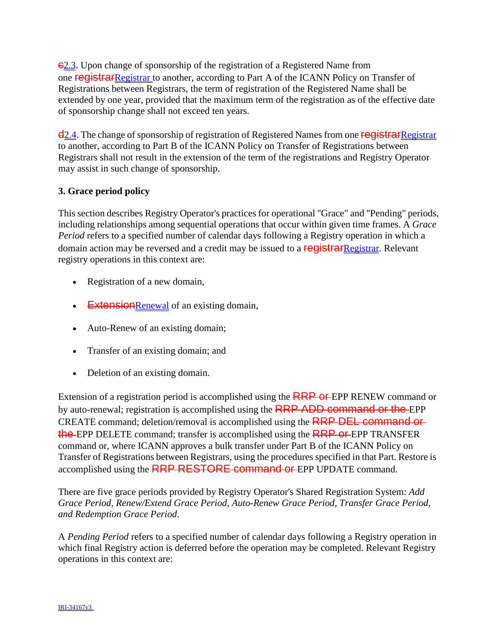$\epsilon$ 2.3. Upon change of sponsorship of the registration of a Registered Name from one **registrar** Registrar to another, according to Part A of the ICANN Policy on Transfer of Registrations between Registrars, the term of registration of the Registered Name shall be extended by one year, provided that the maximum term of the registration as of the effective date of sponsorship change shall not exceed ten years.

 $\frac{d}{dx}$ . The change of sponsorship of registration of Registered Names from one **registrar** Registrar to another, according to Part B of the ICANN Policy on Transfer of Registrations between Registrars shall not result in the extension of the term of the registrations and Registry Operator may assist in such change of sponsorship.

#### **3. Grace period policy**

This section describes Registry Operator's practices for operational "Grace" and "Pending" periods, including relationships among sequential operations that occur within given time frames. A *Grace Period* refers to a specified number of calendar days following a Registry operation in which a domain action may be reversed and a credit may be issued to a **registrar** Registrar. Relevant registry operations in this context are:

- Registration of a new domain,
- Extension Renewal of an existing domain,
- Auto-Renew of an existing domain;
- Transfer of an existing domain; and
- Deletion of an existing domain.

Extension of a registration period is accomplished using the **RRP or** EPP RENEW command or by auto-renewal; registration is accomplished using the RRP ADD command or the EPP CREATE command; deletion/removal is accomplished using the **RRP DEL command or** the EPP DELETE command; transfer is accomplished using the **RRP or** EPP TRANSFER command or, where ICANN approves a bulk transfer under Part B of the ICANN Policy on Transfer of Registrations between Registrars, using the procedures specified in that Part. Restore is accomplished using the RRP RESTORE command or EPP UPDATE command.

There are five grace periods provided by Registry Operator's Shared Registration System: *Add Grace Period, Renew/Extend Grace Period, Auto-Renew Grace Period, Transfer Grace Period, and Redemption Grace Period*.

A *Pending Period* refers to a specified number of calendar days following a Registry operation in which final Registry action is deferred before the operation may be completed. Relevant Registry operations in this context are: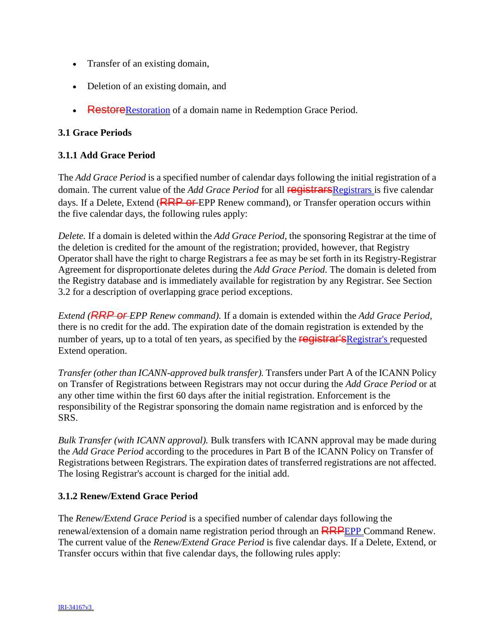- Transfer of an existing domain,
- Deletion of an existing domain, and
- Restore Restoration of a domain name in Redemption Grace Period.

## **3.1 Grace Periods**

## **3.1.1 Add Grace Period**

The *Add Grace Period* is a specified number of calendar days following the initial registration of a domain. The current value of the *Add Grace Period* for all **registrars** Registrars is five calendar days. If a Delete, Extend (**RRP or** EPP Renew command), or Transfer operation occurs within the five calendar days, the following rules apply:

*Delete.* If a domain is deleted within the *Add Grace Period*, the sponsoring Registrar at the time of the deletion is credited for the amount of the registration; provided, however, that Registry Operator shall have the right to charge Registrars a fee as may be set forth in its Registry-Registrar Agreement for disproportionate deletes during the *Add Grace Period*. The domain is deleted from the Registry database and is immediately available for registration by any Registrar. See Section 3.2 for a description of overlapping grace period exceptions.

*Extend (RRP or EPP Renew command).* If a domain is extended within the *Add Grace Period*, there is no credit for the add. The expiration date of the domain registration is extended by the number of years, up to a total of ten years, as specified by the **registrar's**Registrar's requested Extend operation.

*Transfer (other than ICANN-approved bulk transfer).* Transfers under Part A of the ICANN Policy on Transfer of Registrations between Registrars may not occur during the *Add Grace Period* or at any other time within the first 60 days after the initial registration. Enforcement is the responsibility of the Registrar sponsoring the domain name registration and is enforced by the SRS.

*Bulk Transfer (with ICANN approval).* Bulk transfers with ICANN approval may be made during the *Add Grace Period* according to the procedures in Part B of the ICANN Policy on Transfer of Registrations between Registrars. The expiration dates of transferred registrations are not affected. The losing Registrar's account is charged for the initial add.

## **3.1.2 Renew/Extend Grace Period**

The *Renew/Extend Grace Period* is a specified number of calendar days following the renewal/extension of a domain name registration period through an **RRPEPP** Command Renew. The current value of the *Renew/Extend Grace Period* is five calendar days. If a Delete, Extend, or Transfer occurs within that five calendar days, the following rules apply: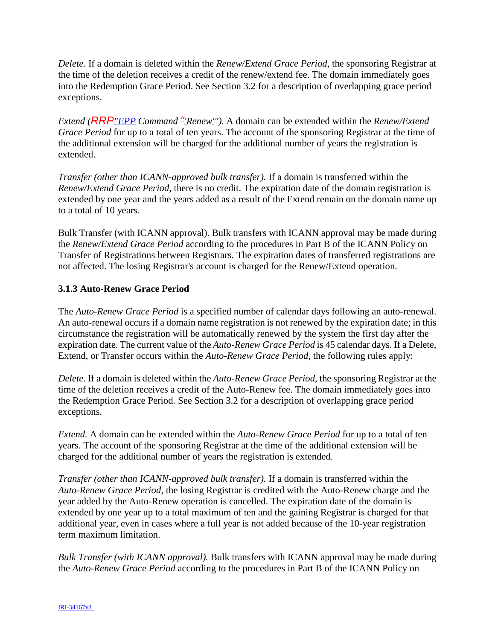*Delete.* If a domain is deleted within the *Renew/Extend Grace Period*, the sponsoring Registrar at the time of the deletion receives a credit of the renew/extend fee. The domain immediately goes into the Redemption Grace Period. See Section 3.2 for a description of overlapping grace period exceptions.

*Extend (RRP"EPP Command "'Renew'").* A domain can be extended within the *Renew/Extend Grace Period* for up to a total of ten years. The account of the sponsoring Registrar at the time of the additional extension will be charged for the additional number of years the registration is extended.

*Transfer (other than ICANN-approved bulk transfer).* If a domain is transferred within the *Renew/Extend Grace Period*, there is no credit. The expiration date of the domain registration is extended by one year and the years added as a result of the Extend remain on the domain name up to a total of 10 years.

Bulk Transfer (with ICANN approval). Bulk transfers with ICANN approval may be made during the *Renew/Extend Grace Period* according to the procedures in Part B of the ICANN Policy on Transfer of Registrations between Registrars. The expiration dates of transferred registrations are not affected. The losing Registrar's account is charged for the Renew/Extend operation.

## **3.1.3 Auto-Renew Grace Period**

The *Auto-Renew Grace Period* is a specified number of calendar days following an auto-renewal. An auto-renewal occurs if a domain name registration is not renewed by the expiration date; in this circumstance the registration will be automatically renewed by the system the first day after the expiration date. The current value of the *Auto-Renew Grace Period* is 45 calendar days. If a Delete, Extend, or Transfer occurs within the *Auto-Renew Grace Period*, the following rules apply:

*Delete.* If a domain is deleted within the *Auto-Renew Grace Period*, the sponsoring Registrar at the time of the deletion receives a credit of the Auto-Renew fee. The domain immediately goes into the Redemption Grace Period. See Section 3.2 for a description of overlapping grace period exceptions.

*Extend.* A domain can be extended within the *Auto-Renew Grace Period* for up to a total of ten years. The account of the sponsoring Registrar at the time of the additional extension will be charged for the additional number of years the registration is extended.

*Transfer (other than ICANN-approved bulk transfer).* If a domain is transferred within the *Auto-Renew Grace Period*, the losing Registrar is credited with the Auto-Renew charge and the year added by the Auto-Renew operation is cancelled. The expiration date of the domain is extended by one year up to a total maximum of ten and the gaining Registrar is charged for that additional year, even in cases where a full year is not added because of the 10-year registration term maximum limitation.

*Bulk Transfer (with ICANN approval).* Bulk transfers with ICANN approval may be made during the *Auto-Renew Grace Period* according to the procedures in Part B of the ICANN Policy on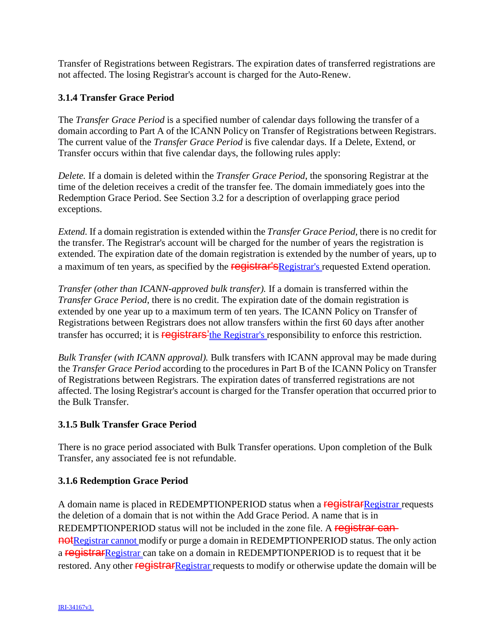Transfer of Registrations between Registrars. The expiration dates of transferred registrations are not affected. The losing Registrar's account is charged for the Auto-Renew.

## **3.1.4 Transfer Grace Period**

The *Transfer Grace Period* is a specified number of calendar days following the transfer of a domain according to Part A of the ICANN Policy on Transfer of Registrations between Registrars. The current value of the *Transfer Grace Period* is five calendar days. If a Delete, Extend, or Transfer occurs within that five calendar days, the following rules apply:

*Delete.* If a domain is deleted within the *Transfer Grace Period*, the sponsoring Registrar at the time of the deletion receives a credit of the transfer fee. The domain immediately goes into the Redemption Grace Period. See Section 3.2 for a description of overlapping grace period exceptions.

*Extend.* If a domain registration is extended within the *Transfer Grace Period*, there is no credit for the transfer. The Registrar's account will be charged for the number of years the registration is extended. The expiration date of the domain registration is extended by the number of years, up to a maximum of ten years, as specified by the **registrar's**Registrar's requested Extend operation.

*Transfer (other than ICANN-approved bulk transfer).* If a domain is transferred within the *Transfer Grace Period*, there is no credit. The expiration date of the domain registration is extended by one year up to a maximum term of ten years. The ICANN Policy on Transfer of Registrations between Registrars does not allow transfers within the first 60 days after another transfer has occurred; it is **registrars** the Registrar's responsibility to enforce this restriction.

*Bulk Transfer (with ICANN approval).* Bulk transfers with ICANN approval may be made during the *Transfer Grace Period* according to the procedures in Part B of the ICANN Policy on Transfer of Registrations between Registrars. The expiration dates of transferred registrations are not affected. The losing Registrar's account is charged for the Transfer operation that occurred prior to the Bulk Transfer.

## **3.1.5 Bulk Transfer Grace Period**

There is no grace period associated with Bulk Transfer operations. Upon completion of the Bulk Transfer, any associated fee is not refundable.

## **3.1.6 Redemption Grace Period**

A domain name is placed in REDEMPTIONPERIOD status when a **registrar** Registrar requests the deletion of a domain that is not within the Add Grace Period. A name that is in REDEMPTIONPERIOD status will not be included in the zone file. A **registrar can not**Registrar cannot modify or purge a domain in REDEMPTIONPERIOD status. The only action a **registrar** Registrar can take on a domain in REDEMPTIONPERIOD is to request that it be restored. Any other **registrarRegistrar** requests to modify or otherwise update the domain will be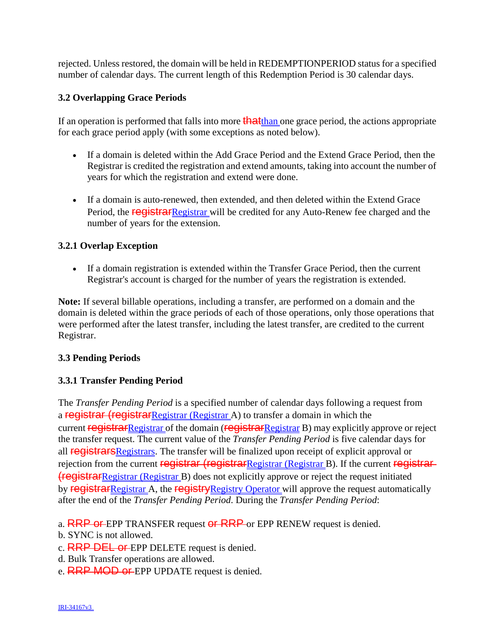rejected. Unless restored, the domain will be held in REDEMPTIONPERIOD status for a specified number of calendar days. The current length of this Redemption Period is 30 calendar days.

## **3.2 Overlapping Grace Periods**

If an operation is performed that falls into more that than one grace period, the actions appropriate for each grace period apply (with some exceptions as noted below).

- If a domain is deleted within the Add Grace Period and the Extend Grace Period, then the Registrar is credited the registration and extend amounts, taking into account the number of years for which the registration and extend were done.
- If a domain is auto-renewed, then extended, and then deleted within the Extend Grace Period, the **registrar** Registrar will be credited for any Auto-Renew fee charged and the number of years for the extension.

## **3.2.1 Overlap Exception**

• If a domain registration is extended within the Transfer Grace Period, then the current Registrar's account is charged for the number of years the registration is extended.

**Note:** If several billable operations, including a transfer, are performed on a domain and the domain is deleted within the grace periods of each of those operations, only those operations that were performed after the latest transfer, including the latest transfer, are credited to the current Registrar.

## **3.3 Pending Periods**

## **3.3.1 Transfer Pending Period**

The *Transfer Pending Period* is a specified number of calendar days following a request from a **registrar (registrar** Registrar (Registrar A) to transfer a domain in which the current **registrar** Registrar of the domain (**registrar** Registrar B) may explicitly approve or reject the transfer request. The current value of the *Transfer Pending Period* is five calendar days for all **registrars** Registrars. The transfer will be finalized upon receipt of explicit approval or rejection from the current **registrar** (registrar Registrar (Registrar B). If the current registrar (registrarRegistrar (Registrar B) does not explicitly approve or reject the request initiated by **registrar** Registrar A, the **registry** Registry Operator will approve the request automatically after the end of the *Transfer Pending Period*. During the *Transfer Pending Period*:

- a. RRP or EPP TRANSFER request or RRP or EPP RENEW request is denied.
- b. SYNC is not allowed.
- c. **RRP DEL OF EPP DELETE** request is denied.
- d. Bulk Transfer operations are allowed.
- e. **RRP MOD or** EPP UPDATE request is denied.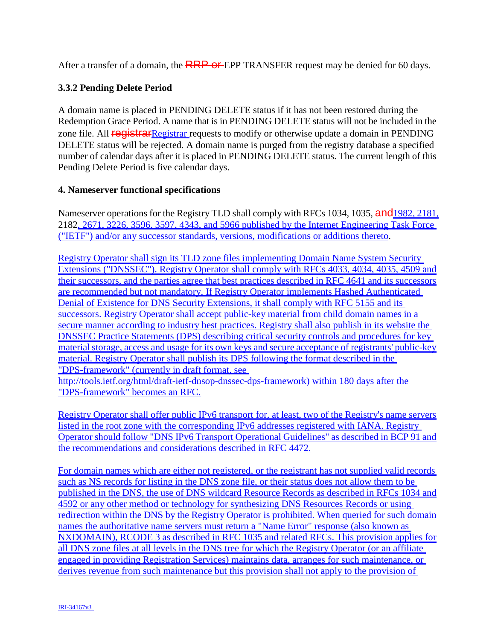After a transfer of a domain, the **RRP or** EPP TRANSFER request may be denied for 60 days.

#### **3.3.2 Pending Delete Period**

A domain name is placed in PENDING DELETE status if it has not been restored during the Redemption Grace Period. A name that is in PENDING DELETE status will not be included in the zone file. All **registrar**Registrar requests to modify or otherwise update a domain in PENDING DELETE status will be rejected. A domain name is purged from the registry database a specified number of calendar days after it is placed in PENDING DELETE status. The current length of this Pending Delete Period is five calendar days.

#### **4. Nameserver functional specifications**

Nameserver operations for the Registry TLD shall comply with RFCs 1034, 1035, **and** 1982, 2181, 2182, 2671, 3226, 3596, 3597, 4343, and 5966 published by the Internet Engineering Task Force ("IETF") and/or any successor standards, versions, modifications or additions thereto.

Registry Operator shall sign its TLD zone files implementing Domain Name System Security Extensions ("DNSSEC"). Registry Operator shall comply with RFCs 4033, 4034, 4035, 4509 and their successors, and the parties agree that best practices described in RFC 4641 and its successors are recommended but not mandatory. If Registry Operator implements Hashed Authenticated Denial of Existence for DNS Security Extensions, it shall comply with RFC 5155 and its successors. Registry Operator shall accept public-key material from child domain names in a secure manner according to industry best practices. Registry shall also publish in its website the DNSSEC Practice Statements (DPS) describing critical security controls and procedures for key material storage, access and usage for its own keys and secure acceptance of registrants' public-key material. Registry Operator shall publish its DPS following the format described in the "DPS-framework" (currently in draft format, see http://tools.ietf.org/html/draft-ietf-dnsop-dnssec-dps-framework) within 180 days after the "DPS-framework" becomes an RFC.

Registry Operator shall offer public IPv6 transport for, at least, two of the Registry's name servers listed in the root zone with the corresponding IPv6 addresses registered with IANA. Registry Operator should follow "DNS IPv6 Transport Operational Guidelines" as described in BCP 91 and the recommendations and considerations described in RFC 4472.

For domain names which are either not registered, or the registrant has not supplied valid records such as NS records for listing in the DNS zone file, or their status does not allow them to be published in the DNS, the use of DNS wildcard Resource Records as described in RFCs 1034 and 4592 or any other method or technology for synthesizing DNS Resources Records or using redirection within the DNS by the Registry Operator is prohibited. When queried for such domain names the authoritative name servers must return a "Name Error" response (also known as NXDOMAIN), RCODE 3 as described in RFC 1035 and related RFCs. This provision applies for all DNS zone files at all levels in the DNS tree for which the Registry Operator (or an affiliate engaged in providing Registration Services) maintains data, arranges for such maintenance, or derives revenue from such maintenance but this provision shall not apply to the provision of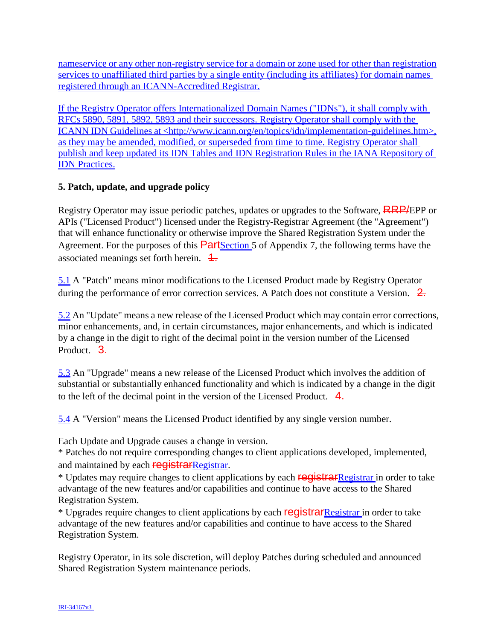nameservice or any other non-registry service for a domain or zone used for other than registration services to unaffiliated third parties by a single entity (including its affiliates) for domain names registered through an ICANN-Accredited Registrar.

If the Registry Operator offers Internationalized Domain Names ("IDNs"), it shall comply with RFCs 5890, 5891, 5892, 5893 and their successors. Registry Operator shall comply with the ICANN IDN Guidelines at <http://www.icann.org/en/topics/idn/implementation-guidelines.htm>, as they may be amended, modified, or superseded from time to time. Registry Operator shall publish and keep updated its IDN Tables and IDN Registration Rules in the IANA Repository of IDN Practices.

## **5. Patch, update, and upgrade policy**

Registry Operator may issue periodic patches, updates or upgrades to the Software, **RRP/EPP** or APIs ("Licensed Product") licensed under the Registry-Registrar Agreement (the "Agreement") that will enhance functionality or otherwise improve the Shared Registration System under the Agreement. For the purposes of this **Part**Section 5 of Appendix 7, the following terms have the associated meanings set forth herein.  $\frac{4}{1}$ .

5.1 A "Patch" means minor modifications to the Licensed Product made by Registry Operator during the performance of error correction services. A Patch does not constitute a Version. 2.

5.2 An "Update" means a new release of the Licensed Product which may contain error corrections, minor enhancements, and, in certain circumstances, major enhancements, and which is indicated by a change in the digit to right of the decimal point in the version number of the Licensed Product. 3.

5.3 An "Upgrade" means a new release of the Licensed Product which involves the addition of substantial or substantially enhanced functionality and which is indicated by a change in the digit to the left of the decimal point in the version of the Licensed Product.  $4.$ 

5.4 A "Version" means the Licensed Product identified by any single version number.

Each Update and Upgrade causes a change in version.

\* Patches do not require corresponding changes to client applications developed, implemented, and maintained by each **registrar** Registrar.

\* Updates may require changes to client applications by each **registrar** Registrar in order to take advantage of the new features and/or capabilities and continue to have access to the Shared Registration System.

\* Upgrades require changes to client applications by each **registrar** Registrar in order to take advantage of the new features and/or capabilities and continue to have access to the Shared Registration System.

Registry Operator, in its sole discretion, will deploy Patches during scheduled and announced Shared Registration System maintenance periods.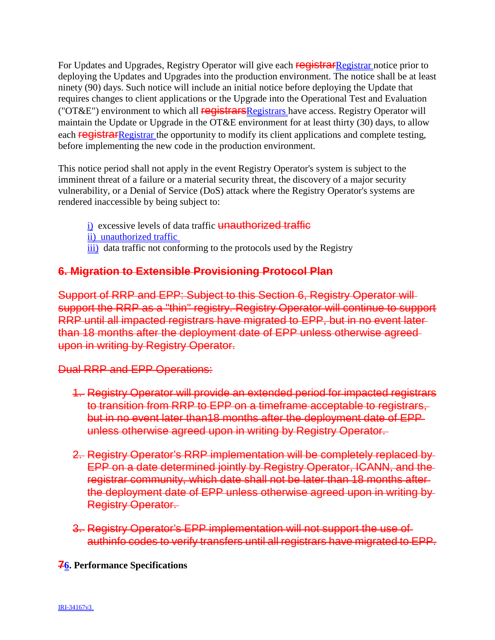For Updates and Upgrades, Registry Operator will give each **registrar** Registrar notice prior to deploying the Updates and Upgrades into the production environment. The notice shall be at least ninety (90) days. Such notice will include an initial notice before deploying the Update that requires changes to client applications or the Upgrade into the Operational Test and Evaluation ("OT&E") environment to which all **registrars** Registrars have access. Registry Operator will maintain the Update or Upgrade in the OT&E environment for at least thirty (30) days, to allow each **registrar**Registrar the opportunity to modify its client applications and complete testing, before implementing the new code in the production environment.

This notice period shall not apply in the event Registry Operator's system is subject to the imminent threat of a failure or a material security threat, the discovery of a major security vulnerability, or a Denial of Service (DoS) attack where the Registry Operator's systems are rendered inaccessible by being subject to:

- i) excessive levels of data traffic **unauthorized traffic**
- ii) unauthorized traffic
- $\frac{1}{11}$  data traffic not conforming to the protocols used by the Registry

## **6. Migration to Extensible Provisioning Protocol Plan**

Support of RRP and EPP: Subject to this Section 6, Registry Operator will support the RRP as a "thin" registry. Registry Operator will continue to support RRP until all impacted registrars have migrated to EPP, but in no event later than 18 months after the deployment date of EPP unless otherwise agreed upon in writing by Registry Operator.

Dual RRP and EPP Operations:

- 1. Registry Operator will provide an extended period for impacted registrars to transition from RRP to EPP on a timeframe acceptable to registrars, but in no event later than18 months after the deployment date of EPP unless otherwise agreed upon in writing by Registry Operator.
- 2. Registry Operator's RRP implementation will be completely replaced by EPP on a date determined jointly by Registry Operator, ICANN, and the registrar community, which date shall not be later than 18 months after the deployment date of EPP unless otherwise agreed upon in writing by Registry Operator.
- 3. Registry Operator's EPP implementation will not support the use of authinfo codes to verify transfers until all registrars have migrated to EPP.

**76. Performance Specifications**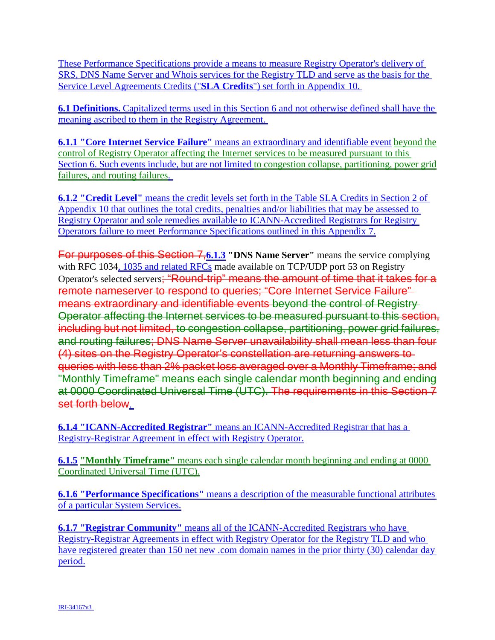These Performance Specifications provide a means to measure Registry Operator's delivery of SRS, DNS Name Server and Whois services for the Registry TLD and serve as the basis for the Service Level Agreements Credits ("**SLA Credits**") set forth in Appendix 10.

**6.1 Definitions.** Capitalized terms used in this Section 6 and not otherwise defined shall have the meaning ascribed to them in the Registry Agreement.

**6.1.1 "Core Internet Service Failure"** means an extraordinary and identifiable event beyond the control of Registry Operator affecting the Internet services to be measured pursuant to this Section 6. Such events include, but are not limited to congestion collapse, partitioning, power grid failures, and routing failures.

**6.1.2 "Credit Level"** means the credit levels set forth in the Table SLA Credits in Section 2 of Appendix 10 that outlines the total credits, penalties and/or liabilities that may be assessed to Registry Operator and sole remedies available to ICANN-Accredited Registrars for Registry Operators failure to meet Performance Specifications outlined in this Appendix 7.

For purposes of this Section 7,**6.1.3 "DNS Name Server"** means the service complying with RFC 1034, 1035 and related RFCs made available on TCP/UDP port 53 on Registry Operator's selected servers; "Round-trip" means the amount of time that it takes for a remote nameserver to respond to queries; "Core Internet Service Failure" means extraordinary and identifiable events beyond the control of Registry Operator affecting the Internet services to be measured pursuant to this section, including but not limited, to congestion collapse, partitioning, power grid failures, and routing failures; DNS Name Server unavailability shall mean less than four (4) sites on the Registry Operator's constellation are returning answers to queries with less than 2% packet loss averaged over a Monthly Timeframe; and "Monthly Timeframe" means each single calendar month beginning and ending at 0000 Coordinated Universal Time (UTC). The requirements in this Section 7 set forth below.

**6.1.4 "ICANN-Accredited Registrar"** means an ICANN-Accredited Registrar that has a Registry-Registrar Agreement in effect with Registry Operator.

**<u>6.1.5</u> "Monthly Timeframe"** means each single calendar month beginning and ending at 0000 Coordinated Universal Time (UTC).

**6.1.6 "Performance Specifications"** means a description of the measurable functional attributes of a particular System Services.

**6.1.7 "Registrar Community"** means all of the ICANN-Accredited Registrars who have Registry-Registrar Agreements in effect with Registry Operator for the Registry TLD and who have registered greater than 150 net new .com domain names in the prior thirty (30) calendar day period.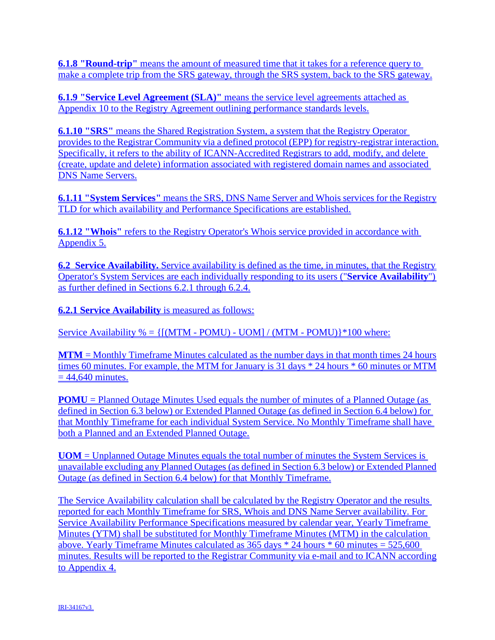**6.1.8 "Round-trip"** means the amount of measured time that it takes for a reference query to make a complete trip from the SRS gateway, through the SRS system, back to the SRS gateway.

**6.1.9 "Service Level Agreement (SLA)"** means the service level agreements attached as Appendix 10 to the Registry Agreement outlining performance standards levels.

**6.1.10 "SRS"** means the Shared Registration System, a system that the Registry Operator provides to the Registrar Community via a defined protocol (EPP) for registry-registrar interaction. Specifically, it refers to the ability of ICANN-Accredited Registrars to add, modify, and delete (create, update and delete) information associated with registered domain names and associated DNS Name Servers.

**6.1.11 "System Services"** means the SRS, DNS Name Server and Whois services for the Registry TLD for which availability and Performance Specifications are established.

**6.1.12 "Whois"** refers to the Registry Operator's Whois service provided in accordance with Appendix 5.

**6.2 Service Availability.** Service availability is defined as the time, in minutes, that the Registry Operator's System Services are each individually responding to its users ("**Service Availability**") as further defined in Sections 6.2.1 through 6.2.4.

**6.2.1 Service Availability** is measured as follows:

Service Availability  $\% = \{[(MTM - POMU) - UOM]/(MTM - POMU)\}$  \*100 where:

**MTM** = Monthly Timeframe Minutes calculated as the number days in that month times 24 hours times 60 minutes. For example, the MTM for January is 31 days \* 24 hours \* 60 minutes or MTM  $= 44,640$  minutes.

**POMU** = Planned Outage Minutes Used equals the number of minutes of a Planned Outage (as defined in Section 6.3 below) or Extended Planned Outage (as defined in Section 6.4 below) for that Monthly Timeframe for each individual System Service. No Monthly Timeframe shall have both a Planned and an Extended Planned Outage.

**UOM** = Unplanned Outage Minutes equals the total number of minutes the System Services is unavailable excluding any Planned Outages (as defined in Section 6.3 below) or Extended Planned Outage (as defined in Section 6.4 below) for that Monthly Timeframe.

The Service Availability calculation shall be calculated by the Registry Operator and the results reported for each Monthly Timeframe for SRS, Whois and DNS Name Server availability. For Service Availability Performance Specifications measured by calendar year, Yearly Timeframe Minutes (YTM) shall be substituted for Monthly Timeframe Minutes (MTM) in the calculation above. Yearly Timeframe Minutes calculated as  $365$  days  $*$  24 hours  $*$  60 minutes =  $525,600$ minutes. Results will be reported to the Registrar Community via e-mail and to ICANN according to Appendix 4.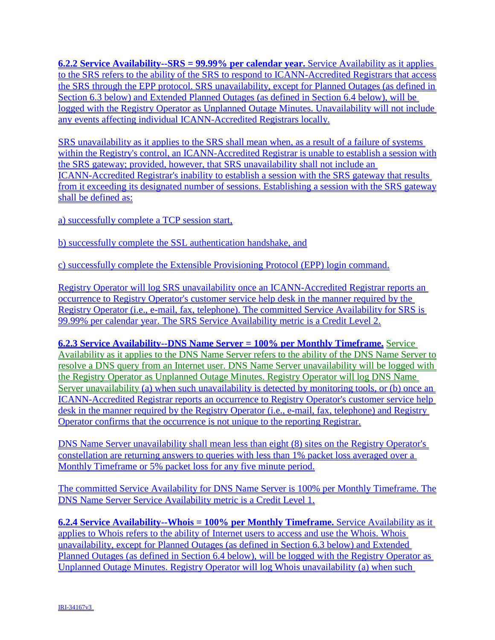**6.2.2 Service Availability--SRS = 99.99% per calendar year.** Service Availability as it applies to the SRS refers to the ability of the SRS to respond to ICANN-Accredited Registrars that access the SRS through the EPP protocol. SRS unavailability, except for Planned Outages (as defined in Section 6.3 below) and Extended Planned Outages (as defined in Section 6.4 below), will be logged with the Registry Operator as Unplanned Outage Minutes. Unavailability will not include any events affecting individual ICANN-Accredited Registrars locally.

SRS unavailability as it applies to the SRS shall mean when, as a result of a failure of systems within the Registry's control, an ICANN-Accredited Registrar is unable to establish a session with the SRS gateway; provided, however, that SRS unavailability shall not include an ICANN-Accredited Registrar's inability to establish a session with the SRS gateway that results from it exceeding its designated number of sessions. Establishing a session with the SRS gateway shall be defined as:

a) successfully complete a TCP session start,

b) successfully complete the SSL authentication handshake, and

c) successfully complete the Extensible Provisioning Protocol (EPP) login command.

Registry Operator will log SRS unavailability once an ICANN-Accredited Registrar reports an occurrence to Registry Operator's customer service help desk in the manner required by the Registry Operator (i.e., e-mail, fax, telephone). The committed Service Availability for SRS is 99.99% per calendar year. The SRS Service Availability metric is a Credit Level 2.

**6.2.3 Service Availability--DNS Name Server = 100% per Monthly Timeframe.** Service Availability as it applies to the DNS Name Server refers to the ability of the DNS Name Server to resolve a DNS query from an Internet user. DNS Name Server unavailability will be logged with the Registry Operator as Unplanned Outage Minutes. Registry Operator will log DNS Name Server unavailability (a) when such unavailability is detected by monitoring tools, or (b) once an ICANN-Accredited Registrar reports an occurrence to Registry Operator's customer service help desk in the manner required by the Registry Operator (i.e., e-mail, fax, telephone) and Registry Operator confirms that the occurrence is not unique to the reporting Registrar.

DNS Name Server unavailability shall mean less than eight (8) sites on the Registry Operator's constellation are returning answers to queries with less than 1% packet loss averaged over a Monthly Timeframe or 5% packet loss for any five minute period.

The committed Service Availability for DNS Name Server is 100% per Monthly Timeframe. The DNS Name Server Service Availability metric is a Credit Level 1.

**6.2.4 Service Availability--Whois = 100% per Monthly Timeframe.** Service Availability as it applies to Whois refers to the ability of Internet users to access and use the Whois. Whois unavailability, except for Planned Outages (as defined in Section 6.3 below) and Extended Planned Outages (as defined in Section 6.4 below), will be logged with the Registry Operator as Unplanned Outage Minutes. Registry Operator will log Whois unavailability (a) when such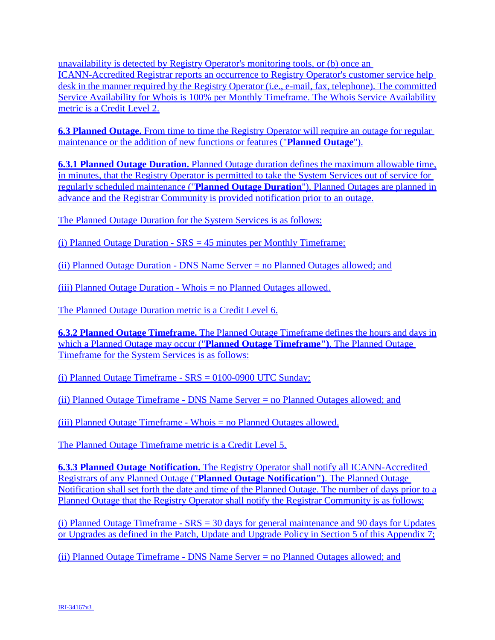unavailability is detected by Registry Operator's monitoring tools, or (b) once an

ICANN-Accredited Registrar reports an occurrence to Registry Operator's customer service help desk in the manner required by the Registry Operator (i.e., e-mail, fax, telephone). The committed Service Availability for Whois is 100% per Monthly Timeframe. The Whois Service Availability metric is a Credit Level 2.

**6.3 Planned Outage.** From time to time the Registry Operator will require an outage for regular maintenance or the addition of new functions or features ("**Planned Outage**").

**6.3.1 Planned Outage Duration.** Planned Outage duration defines the maximum allowable time, in minutes, that the Registry Operator is permitted to take the System Services out of service for regularly scheduled maintenance ("**Planned Outage Duration**"). Planned Outages are planned in advance and the Registrar Community is provided notification prior to an outage.

The Planned Outage Duration for the System Services is as follows:

(i) Planned Outage Duration - SRS = 45 minutes per Monthly Timeframe;

(ii) Planned Outage Duration - DNS Name Server = no Planned Outages allowed; and

(iii) Planned Outage Duration - Whois = no Planned Outages allowed.

The Planned Outage Duration metric is a Credit Level 6.

**6.3.2 Planned Outage Timeframe.** The Planned Outage Timeframe defines the hours and days in which a Planned Outage may occur ("**Planned Outage Timeframe")**. The Planned Outage Timeframe for the System Services is as follows:

(i) Planned Outage Timeframe - SRS = 0100-0900 UTC Sunday;

(ii) Planned Outage Timeframe - DNS Name Server = no Planned Outages allowed; and

(iii) Planned Outage Timeframe - Whois = no Planned Outages allowed.

The Planned Outage Timeframe metric is a Credit Level 5.

**6.3.3 Planned Outage Notification.** The Registry Operator shall notify all ICANN-Accredited Registrars of any Planned Outage ("**Planned Outage Notification")**. The Planned Outage Notification shall set forth the date and time of the Planned Outage. The number of days prior to a Planned Outage that the Registry Operator shall notify the Registrar Community is as follows:

(i) Planned Outage Timeframe  $-SRS = 30$  days for general maintenance and 90 days for Updates or Upgrades as defined in the Patch, Update and Upgrade Policy in Section 5 of this Appendix 7;

(ii) Planned Outage Timeframe - DNS Name Server = no Planned Outages allowed; and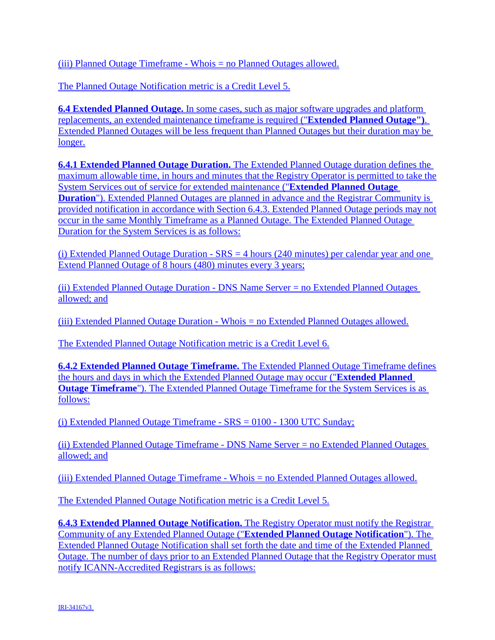(iii) Planned Outage Timeframe - Whois = no Planned Outages allowed.

The Planned Outage Notification metric is a Credit Level 5.

**6.4 Extended Planned Outage.** In some cases, such as major software upgrades and platform replacements, an extended maintenance timeframe is required ("**Extended Planned Outage")**. Extended Planned Outages will be less frequent than Planned Outages but their duration may be longer.

**6.4.1 Extended Planned Outage Duration.** The Extended Planned Outage duration defines the maximum allowable time, in hours and minutes that the Registry Operator is permitted to take the System Services out of service for extended maintenance ("**Extended Planned Outage Duration**"). Extended Planned Outages are planned in advance and the Registrar Community is provided notification in accordance with Section 6.4.3. Extended Planned Outage periods may not occur in the same Monthly Timeframe as a Planned Outage. The Extended Planned Outage Duration for the System Services is as follows:

(i) Extended Planned Outage Duration - SRS = 4 hours (240 minutes) per calendar year and one Extend Planned Outage of 8 hours (480) minutes every 3 years;

(ii) Extended Planned Outage Duration - DNS Name Server = no Extended Planned Outages allowed; and

(iii) Extended Planned Outage Duration - Whois = no Extended Planned Outages allowed.

The Extended Planned Outage Notification metric is a Credit Level 6.

**6.4.2 Extended Planned Outage Timeframe.** The Extended Planned Outage Timeframe defines the hours and days in which the Extended Planned Outage may occur ("**Extended Planned Outage Timeframe**"). The Extended Planned Outage Timeframe for the System Services is as follows:

(i) Extended Planned Outage Timeframe - SRS = 0100 - 1300 UTC Sunday;

(ii) Extended Planned Outage Timeframe - DNS Name Server = no Extended Planned Outages allowed; and

(iii) Extended Planned Outage Timeframe - Whois = no Extended Planned Outages allowed.

The Extended Planned Outage Notification metric is a Credit Level 5.

**6.4.3 Extended Planned Outage Notification.** The Registry Operator must notify the Registrar Community of any Extended Planned Outage ("**Extended Planned Outage Notification**"). The Extended Planned Outage Notification shall set forth the date and time of the Extended Planned Outage. The number of days prior to an Extended Planned Outage that the Registry Operator must notify ICANN-Accredited Registrars is as follows: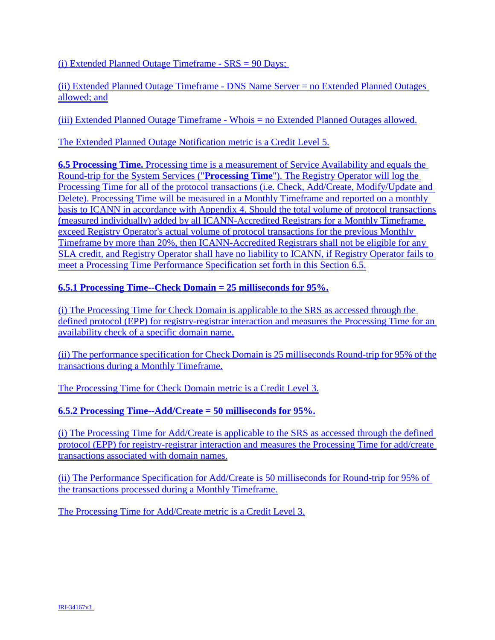(i) Extended Planned Outage Timeframe - SRS = 90 Days;

(ii) Extended Planned Outage Timeframe - DNS Name Server = no Extended Planned Outages allowed; and

(iii) Extended Planned Outage Timeframe - Whois = no Extended Planned Outages allowed.

The Extended Planned Outage Notification metric is a Credit Level 5.

**6.5 Processing Time.** Processing time is a measurement of Service Availability and equals the Round-trip for the System Services ("**Processing Time**"). The Registry Operator will log the Processing Time for all of the protocol transactions (i.e. Check, Add/Create, Modify/Update and Delete). Processing Time will be measured in a Monthly Timeframe and reported on a monthly basis to ICANN in accordance with Appendix 4. Should the total volume of protocol transactions (measured individually) added by all ICANN-Accredited Registrars for a Monthly Timeframe exceed Registry Operator's actual volume of protocol transactions for the previous Monthly Timeframe by more than 20%, then ICANN-Accredited Registrars shall not be eligible for any SLA credit, and Registry Operator shall have no liability to ICANN, if Registry Operator fails to meet a Processing Time Performance Specification set forth in this Section 6.5.

**6.5.1 Processing Time--Check Domain = 25 milliseconds for 95%.**

(i) The Processing Time for Check Domain is applicable to the SRS as accessed through the defined protocol (EPP) for registry-registrar interaction and measures the Processing Time for an availability check of a specific domain name.

(ii) The performance specification for Check Domain is 25 milliseconds Round-trip for 95% of the transactions during a Monthly Timeframe.

The Processing Time for Check Domain metric is a Credit Level 3.

## **6.5.2 Processing Time--Add/Create = 50 milliseconds for 95%.**

(i) The Processing Time for Add/Create is applicable to the SRS as accessed through the defined protocol (EPP) for registry-registrar interaction and measures the Processing Time for add/create transactions associated with domain names.

(ii) The Performance Specification for Add/Create is 50 milliseconds for Round-trip for 95% of the transactions processed during a Monthly Timeframe.

The Processing Time for Add/Create metric is a Credit Level 3.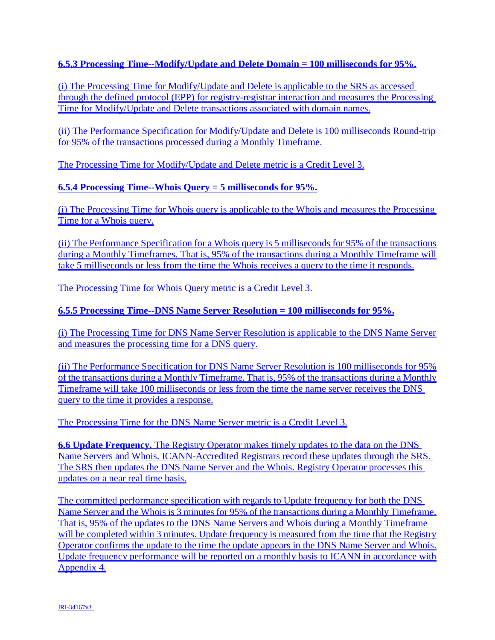## **6.5.3 Processing Time--Modify/Update and Delete Domain = 100 milliseconds for 95%.**

(i) The Processing Time for Modify/Update and Delete is applicable to the SRS as accessed through the defined protocol (EPP) for registry-registrar interaction and measures the Processing Time for Modify/Update and Delete transactions associated with domain names.

(ii) The Performance Specification for Modify/Update and Delete is 100 milliseconds Round-trip for 95% of the transactions processed during a Monthly Timeframe.

The Processing Time for Modify/Update and Delete metric is a Credit Level 3.

## **6.5.4 Processing Time--Whois Query = 5 milliseconds for 95%.**

(i) The Processing Time for Whois query is applicable to the Whois and measures the Processing Time for a Whois query.

(ii) The Performance Specification for a Whois query is 5 milliseconds for 95% of the transactions during a Monthly Timeframes. That is, 95% of the transactions during a Monthly Timeframe will take 5 milliseconds or less from the time the Whois receives a query to the time it responds.

The Processing Time for Whois Query metric is a Credit Level 3.

## **6.5.5 Processing Time--DNS Name Server Resolution = 100 milliseconds for 95%.**

(i) The Processing Time for DNS Name Server Resolution is applicable to the DNS Name Server and measures the processing time for a DNS query.

(ii) The Performance Specification for DNS Name Server Resolution is 100 milliseconds for 95% of the transactions during a Monthly Timeframe. That is, 95% of the transactions during a Monthly Timeframe will take 100 milliseconds or less from the time the name server receives the DNS query to the time it provides a response.

The Processing Time for the DNS Name Server metric is a Credit Level 3.

**6.6 Update Frequency.** The Registry Operator makes timely updates to the data on the DNS Name Servers and Whois. ICANN-Accredited Registrars record these updates through the SRS. The SRS then updates the DNS Name Server and the Whois. Registry Operator processes this updates on a near real time basis.

The committed performance specification with regards to Update frequency for both the DNS Name Server and the Whois is 3 minutes for 95% of the transactions during a Monthly Timeframe. That is, 95% of the updates to the DNS Name Servers and Whois during a Monthly Timeframe will be completed within 3 minutes. Update frequency is measured from the time that the Registry Operator confirms the update to the time the update appears in the DNS Name Server and Whois. Update frequency performance will be reported on a monthly basis to ICANN in accordance with Appendix 4.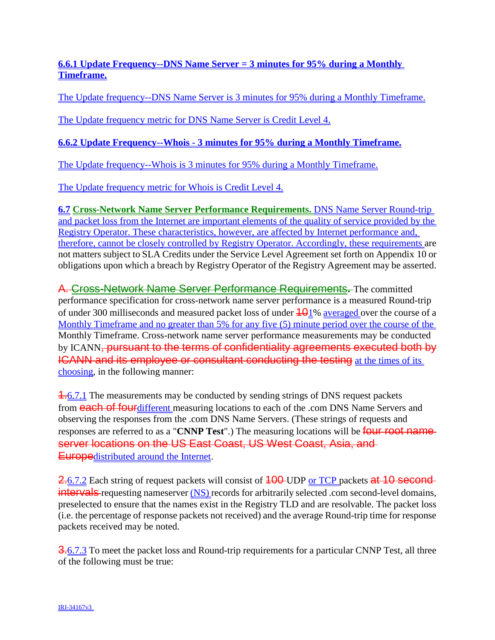**6.6.1 Update Frequency--DNS Name Server = 3 minutes for 95% during a Monthly Timeframe.**

The Update frequency--DNS Name Server is 3 minutes for 95% during a Monthly Timeframe.

The Update frequency metric for DNS Name Server is Credit Level 4.

## **6.6.2 Update Frequency--Whois - 3 minutes for 95% during a Monthly Timeframe.**

The Update frequency--Whois is 3 minutes for 95% during a Monthly Timeframe.

The Update frequency metric for Whois is Credit Level 4.

**6.7 Cross-Network Name Server Performance Requirements.** DNS Name Server Round-trip and packet loss from the Internet are important elements of the quality of service provided by the Registry Operator. These characteristics, however, are affected by Internet performance and, therefore, cannot be closely controlled by Registry Operator. Accordingly, these requirements are not matters subject to SLA Credits under the Service Level Agreement set forth on Appendix 10 or obligations upon which a breach by Registry Operator of the Registry Agreement may be asserted.

A. Cross-Network Name Server Performance Requirements**.** The committed performance specification for cross-network name server performance is a measured Round-trip of under 300 milliseconds and measured packet loss of under  $\frac{401}{%}$  averaged over the course of a Monthly Timeframe and no greater than 5% for any five (5) minute period over the course of the Monthly Timeframe. Cross-network name server performance measurements may be conducted by ICANN, pursuant to the terms of confidentiality agreements executed both by ICANN and its employee or consultant conducting the testing at the times of its choosing, in the following manner:

**1.6.7.1** The measurements may be conducted by sending strings of DNS request packets from **each of four**different measuring locations to each of the .com DNS Name Servers and observing the responses from the .com DNS Name Servers. (These strings of requests and responses are referred to as a "**CNNP Test**".) The measuring locations will be **four root name** server locations on the US East Coast, US West Coast, Asia, and **Europe** distributed around the Internet.

2.6.7.2 Each string of request packets will consist of  $100$  UDP or TCP packets at 10 secondintervals requesting nameserver (NS) records for arbitrarily selected .com second-level domains, preselected to ensure that the names exist in the Registry TLD and are resolvable. The packet loss (i.e. the percentage of response packets not received) and the average Round-trip time for response packets received may be noted.

**3.** 6.7.3 To meet the packet loss and Round-trip requirements for a particular CNNP Test, all three of the following must be true: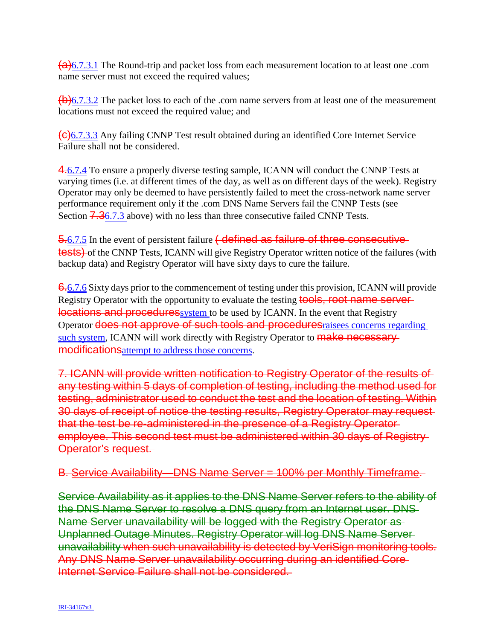$\left\{a\right\}$ 6.7.3.1 The Round-trip and packet loss from each measurement location to at least one .com name server must not exceed the required values;

 $\overline{(b)}$ 6.7.3.2 The packet loss to each of the .com name servers from at least one of the measurement locations must not exceed the required value; and

(c)6.7.3.3 Any failing CNNP Test result obtained during an identified Core Internet Service Failure shall not be considered.

4.6.7.4 To ensure a properly diverse testing sample, ICANN will conduct the CNNP Tests at varying times (i.e. at different times of the day, as well as on different days of the week). Registry Operator may only be deemed to have persistently failed to meet the cross-network name server performance requirement only if the .com DNS Name Servers fail the CNNP Tests (see Section  $7.36.7.3$  above) with no less than three consecutive failed CNNP Tests.

5.6.7.5 In the event of persistent failure (defined as failure of three consecutive tests) of the CNNP Tests, ICANN will give Registry Operator written notice of the failures (with backup data) and Registry Operator will have sixty days to cure the failure.

**6.**6.7.6 Sixty days prior to the commencement of testing under this provision, ICANN will provide Registry Operator with the opportunity to evaluate the testing **tools, root name server** locations and procedures system to be used by ICANN. In the event that Registry Operator does not approve of such tools and proceduresraisees concerns regarding such system, ICANN will work directly with Registry Operator to **make necessary** modificationsattempt to address those concerns.

7. ICANN will provide written notification to Registry Operator of the results of any testing within 5 days of completion of testing, including the method used for testing, administrator used to conduct the test and the location of testing. Within 30 days of receipt of notice the testing results, Registry Operator may request that the test be re-administered in the presence of a Registry Operator employee. This second test must be administered within 30 days of Registry Operator's request.

# B. Service Availability—DNS Name Server = 100% per Monthly Timeframe.

Service Availability as it applies to the DNS Name Server refers to the ability of the DNS Name Server to resolve a DNS query from an Internet user. DNS Name Server unavailability will be logged with the Registry Operator as Unplanned Outage Minutes. Registry Operator will log DNS Name Server unavailability when such unavailability is detected by VeriSign monitoring tools. Any DNS Name Server unavailability occurring during an identified Core Internet Service Failure shall not be considered.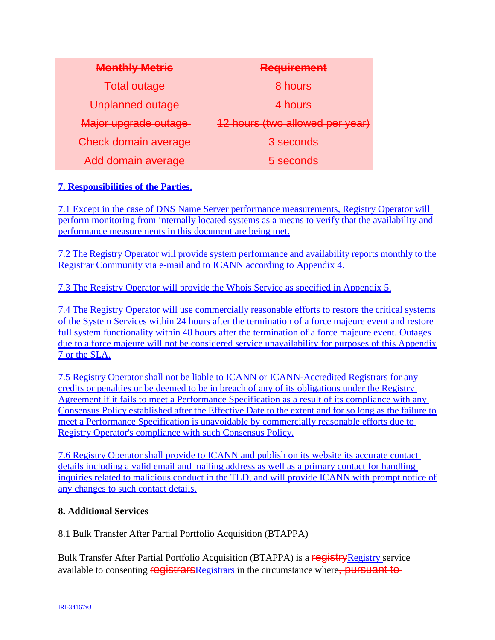| <b>Monthly Metric</b> | <b>Requirement</b>              |
|-----------------------|---------------------------------|
| <b>Total outage</b>   | 8 hours                         |
| Unplanned outage      | 4 hours                         |
| Major upgrade outage  | 12 hours (two allowed per year) |
| Check domain average  | 3 seconds                       |
| Add domain average    | 5 seconds                       |

## **7. Responsibilities of the Parties.**

7.1 Except in the case of DNS Name Server performance measurements, Registry Operator will perform monitoring from internally located systems as a means to verify that the availability and performance measurements in this document are being met.

7.2 The Registry Operator will provide system performance and availability reports monthly to the Registrar Community via e-mail and to ICANN according to Appendix 4.

7.3 The Registry Operator will provide the Whois Service as specified in Appendix 5.

7.4 The Registry Operator will use commercially reasonable efforts to restore the critical systems of the System Services within 24 hours after the termination of a force majeure event and restore full system functionality within 48 hours after the termination of a force majeure event. Outages due to a force majeure will not be considered service unavailability for purposes of this Appendix 7 or the SLA.

7.5 Registry Operator shall not be liable to ICANN or ICANN-Accredited Registrars for any credits or penalties or be deemed to be in breach of any of its obligations under the Registry Agreement if it fails to meet a Performance Specification as a result of its compliance with any Consensus Policy established after the Effective Date to the extent and for so long as the failure to meet a Performance Specification is unavoidable by commercially reasonable efforts due to Registry Operator's compliance with such Consensus Policy.

7.6 Registry Operator shall provide to ICANN and publish on its website its accurate contact details including a valid email and mailing address as well as a primary contact for handling inquiries related to malicious conduct in the TLD, and will provide ICANN with prompt notice of any changes to such contact details.

## **8. Additional Services**

8.1 Bulk Transfer After Partial Portfolio Acquisition (BTAPPA)

Bulk Transfer After Partial Portfolio Acquisition (BTAPPA) is a **registry** Registry service available to consenting **registrars** Registrars in the circumstance where, **pursuant to**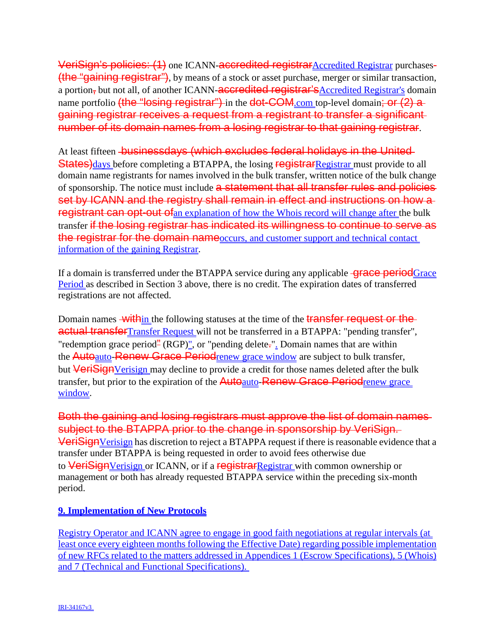VeriSign's policies: (1) one ICANN-accredited registrar Accredited Registrar purchases-(the "gaining registrar"), by means of a stock or asset purchase, merger or similar transaction, a portion<sub>r</sub> but not all, of another ICANN-accredited registrar's Accredited Registrar's domain name portfolio (the "losing registrar") in the dot-COM.com top-level domain; or (2) a gaining registrar receives a request from a registrant to transfer a significant number of its domain names from a losing registrar to that gaining registrar.

At least fifteen businessdays (which excludes federal holidays in the United-States) days before completing a BTAPPA, the losing **registrar** Registrar must provide to all domain name registrants for names involved in the bulk transfer, written notice of the bulk change of sponsorship. The notice must include a statement that all transfer rules and policies set by ICANN and the registry shall remain in effect and instructions on how a registrant can opt-out of an explanation of how the Whois record will change after the bulk transfer if the losing registrar has indicated its willingness to continue to serve as the registrar for the domain name occurs, and customer support and technical contact information of the gaining Registrar.

If a domain is transferred under the BTAPPA service during any applicable **grace period**Grace Period as described in Section 3 above, there is no credit. The expiration dates of transferred registrations are not affected.

Domain names **With**in the following statuses at the time of the **transfer request or the** actual transferTransfer Request will not be transferred in a BTAPPA: "pending transfer", "redemption grace period" (RGP)", or "pending delete.". Domain names that are within the **Auto** auto-Renew Grace Period renew grace window are subject to bulk transfer, but VeriSignVerisign may decline to provide a credit for those names deleted after the bulk transfer, but prior to the expiration of the **Auto** auto-Renew Grace Periodrenew grace window.

Both the gaining and losing registrars must approve the list of domain names subject to the BTAPPA prior to the change in sponsorship by VeriSign. VeriSignVerisign has discretion to reject a BTAPPA request if there is reasonable evidence that a transfer under BTAPPA is being requested in order to avoid fees otherwise due to VeriSignVerisign or ICANN, or if a registrarRegistrar with common ownership or management or both has already requested BTAPPA service within the preceding six-month period.

## **9. Implementation of New Protocols**

Registry Operator and ICANN agree to engage in good faith negotiations at regular intervals (at least once every eighteen months following the Effective Date) regarding possible implementation of new RFCs related to the matters addressed in Appendices 1 (Escrow Specifications), 5 (Whois) and 7 (Technical and Functional Specifications).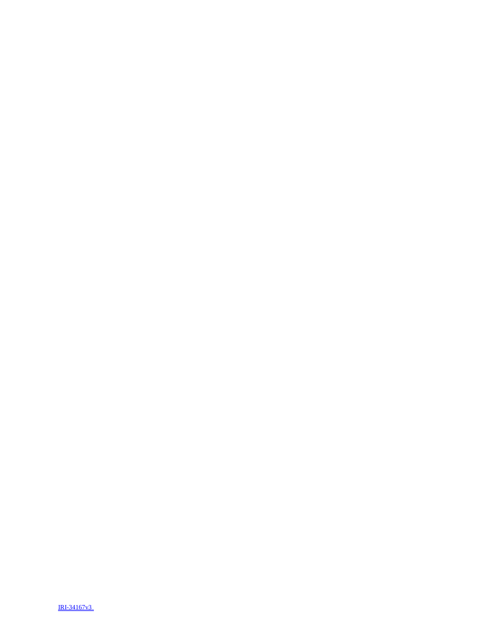IRI-34167v3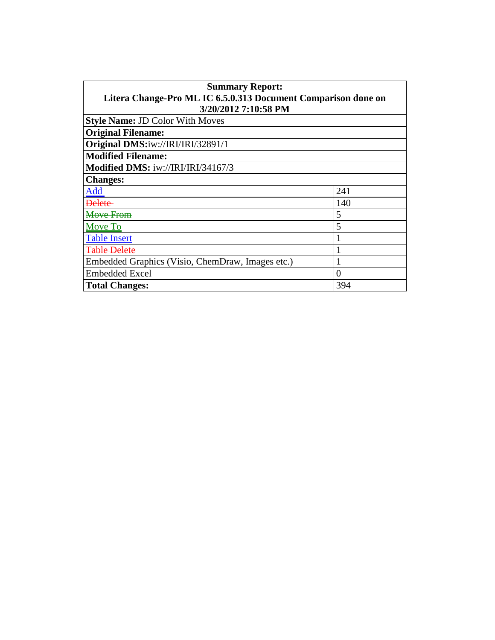| <b>Summary Report:</b>                                        |     |  |  |
|---------------------------------------------------------------|-----|--|--|
| Litera Change-Pro ML IC 6.5.0.313 Document Comparison done on |     |  |  |
| 3/20/2012 7:10:58 PM                                          |     |  |  |
| <b>Style Name: JD Color With Moves</b>                        |     |  |  |
| <b>Original Filename:</b>                                     |     |  |  |
| Original DMS:iw://IRI/IRI/32891/1                             |     |  |  |
| <b>Modified Filename:</b>                                     |     |  |  |
| Modified DMS: iw://IRI/IRI/34167/3                            |     |  |  |
| <b>Changes:</b>                                               |     |  |  |
| Add                                                           | 241 |  |  |
| <del>Delete-</del>                                            | 140 |  |  |
| Move From                                                     | 5   |  |  |
| Move To                                                       | 5   |  |  |
| <b>Table Insert</b>                                           |     |  |  |
| <del>Table Delete</del>                                       |     |  |  |
| Embedded Graphics (Visio, ChemDraw, Images etc.)              |     |  |  |
| <b>Embedded Excel</b>                                         | 0   |  |  |
| <b>Total Changes:</b>                                         | 394 |  |  |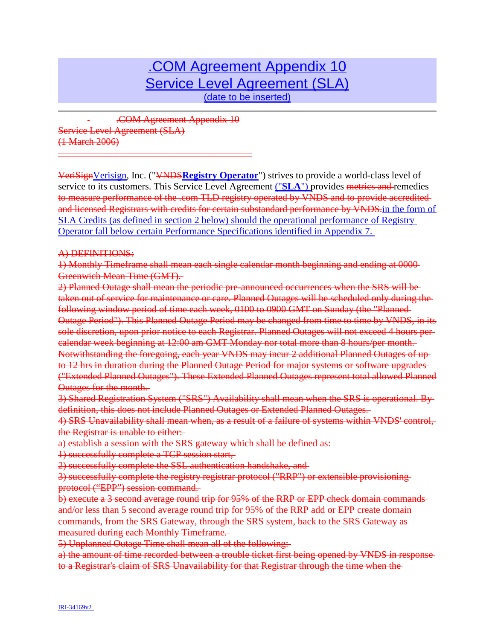# .COM Agreement Appendix 10 Service Level Agreement (SLA) (date to be inserted)

.COM Agreement Appendix 10 Service Level Agreement (SLA) (1 March 2006)

 $\mathcal{L}_\mathcal{L}$  , where the contribution of the contribution of  $\mathcal{L}_\mathcal{L}$ 

VeriSignVerisign, Inc. ("VNDS**Registry Operator**") strives to provide a world-class level of service to its customers. This Service Level Agreement ("SLA") provides metrics and remedies to measure performance of the .com TLD registry operated by VNDS and to provide accredited and licensed Registrars with credits for certain substandard performance by VNDS.in the form of SLA Credits (as defined in section 2 below) should the operational performance of Registry Operator fall below certain Performance Specifications identified in Appendix 7.

#### A) DEFINITIONS:

1) Monthly Timeframe shall mean each single calendar month beginning and ending at 0000 Greenwich Mean Time (GMT).

2) Planned Outage shall mean the periodic pre-announced occurrences when the SRS will be taken out of service for maintenance or care. Planned Outages will be scheduled only during the following window period of time each week, 0100 to 0900 GMT on Sunday (the "Planned Outage Period"). This Planned Outage Period may be changed from time to time by VNDS, in its sole discretion, upon prior notice to each Registrar. Planned Outages will not exceed 4 hours per calendar week beginning at 12:00 am GMT Monday nor total more than 8 hours/per month. Notwithstanding the foregoing, each year VNDS may incur 2 additional Planned Outages of up to 12 hrs in duration during the Planned Outage Period for major systems or software upgrades ("Extended Planned Outages"). These Extended Planned Outages represent total allowed Planned Outages for the month.

3) Shared Registration System ("SRS") Availability shall mean when the SRS is operational. By definition, this does not include Planned Outages or Extended Planned Outages.

4) SRS Unavailability shall mean when, as a result of a failure of systems within VNDS' control, the Registrar is unable to either:

a) establish a session with the SRS gateway which shall be defined as:

1) successfully complete a TCP session start,

2) successfully complete the SSL authentication handshake, and

3) successfully complete the registry registrar protocol ("RRP") or extensible provisioning protocol ("EPP") session command.

b) execute a 3 second average round trip for 95% of the RRP or EPP check domain commands and/or less than 5 second average round trip for 95% of the RRP add or EPP create domain commands, from the SRS Gateway, through the SRS system, back to the SRS Gateway as measured during each Monthly Timeframe.

5) Unplanned Outage Time shall mean all of the following:

a) the amount of time recorded between a trouble ticket first being opened by VNDS in response to a Registrar's claim of SRS Unavailability for that Registrar through the time when the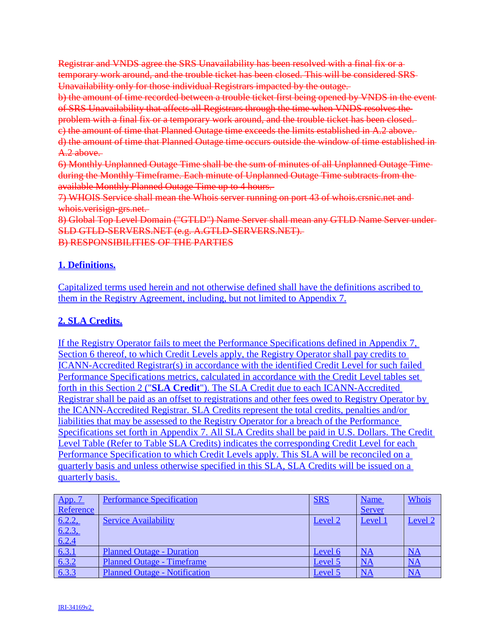Registrar and VNDS agree the SRS Unavailability has been resolved with a final fix or a temporary work around, and the trouble ticket has been closed. This will be considered SRS Unavailability only for those individual Registrars impacted by the outage.

b) the amount of time recorded between a trouble ticket first being opened by VNDS in the event of SRS Unavailability that affects all Registrars through the time when VNDS resolves the

problem with a final fix or a temporary work around, and the trouble ticket has been closed.

c) the amount of time that Planned Outage time exceeds the limits established in A.2 above.

d) the amount of time that Planned Outage time occurs outside the window of time established in A.2 above.

6) Monthly Unplanned Outage Time shall be the sum of minutes of all Unplanned Outage Time during the Monthly Timeframe. Each minute of Unplanned Outage Time subtracts from the available Monthly Planned Outage Time up to 4 hours.

7) WHOIS Service shall mean the Whois server running on port 43 of whois.crsnic.net and whois.verisign-grs.net.

8) Global Top Level Domain ("GTLD") Name Server shall mean any GTLD Name Server under SLD GTLD-SERVERS.NET (e.g. A.GTLD-SERVERS.NET). B) RESPONSIBILITIES OF THE PARTIES

## **1. Definitions.**

Capitalized terms used herein and not otherwise defined shall have the definitions ascribed to them in the Registry Agreement, including, but not limited to Appendix 7.

## **2. SLA Credits.**

If the Registry Operator fails to meet the Performance Specifications defined in Appendix 7, Section 6 thereof, to which Credit Levels apply, the Registry Operator shall pay credits to ICANN-Accredited Registrar(s) in accordance with the identified Credit Level for such failed Performance Specifications metrics, calculated in accordance with the Credit Level tables set forth in this Section 2 ("**SLA Credit**"). The SLA Credit due to each ICANN-Accredited Registrar shall be paid as an offset to registrations and other fees owed to Registry Operator by the ICANN-Accredited Registrar. SLA Credits represent the total credits, penalties and/or liabilities that may be assessed to the Registry Operator for a breach of the Performance Specifications set forth in Appendix 7. All SLA Credits shall be paid in U.S. Dollars. The Credit Level Table (Refer to Table SLA Credits) indicates the corresponding Credit Level for each Performance Specification to which Credit Levels apply. This SLA will be reconciled on a quarterly basis and unless otherwise specified in this SLA, SLA Credits will be issued on a quarterly basis.

| <u>App. 7</u>                          | <b>Performance Specification</b>     | <b>SRS</b>     | <b>Name</b>      | <b>Whois</b>              |
|----------------------------------------|--------------------------------------|----------------|------------------|---------------------------|
| Reference                              |                                      |                | Server           |                           |
| $\frac{6.2.2}{6.2.3}$<br><u>6.2.3.</u> | <b>Service Availability</b>          | <b>Level 2</b> | <b>Level</b> 1   | Level <sub>2</sub>        |
|                                        |                                      |                |                  |                           |
|                                        |                                      |                |                  |                           |
| 6.3.1                                  | <b>Planned Outage - Duration</b>     | Level 6        | $\underline{NA}$ | $\underline{\mathbf{NA}}$ |
| 6.3.2                                  | <b>Planned Outage - Timeframe</b>    | Level 5        | NA               | $\underline{\mathbf{NA}}$ |
| 6.3.3                                  | <b>Planned Outage - Notification</b> | Level 5        | NA               | $NA$                      |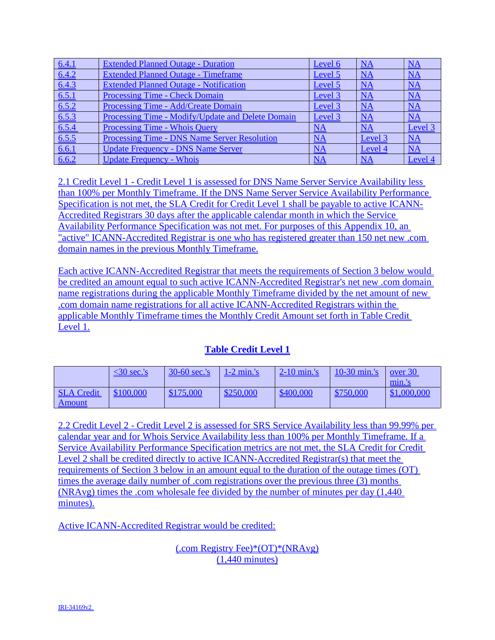| 6.4.1                 | <b>Extended Planned Outage - Duration</b>           | Level 6 | $\underline{\mathbf{M}}$  | $NA$                   |
|-----------------------|-----------------------------------------------------|---------|---------------------------|------------------------|
| 6.4.2                 | <b>Extended Planned Outage - Timeframe</b>          | Level 5 | $NA$                      | $NA$                   |
| 6.4.3                 | <b>Extended Planned Outage - Notification</b>       | Level 5 | $\underline{NA}$          | NA                     |
| 6.5.1                 | <b>Processing Time - Check Domain</b>               | Level 3 | $\underline{\mathbf{NA}}$ | $\overline{\text{NA}}$ |
| 6.5.2                 | Processing Time - Add/Create Domain                 | Level 3 | $\underline{NA}$          | $NA$                   |
|                       | Processing Time - Modify/Update and Delete Domain   | Level 3 | $\underline{\mathbf{NA}}$ | $\overline{\text{NA}}$ |
| $\frac{6.5.3}{6.5.4}$ | <b>Processing Time - Whois Query</b>                | $NA$    | $NA$                      | Level 3                |
| 6.5.5                 | <b>Processing Time - DNS Name Server Resolution</b> | $NA$    | Level 3                   | $NA$                   |
| 6.6.1                 | <b>Update Frequency - DNS Name Server</b>           | $NA$    | Level 4                   | $NA$                   |
| 6.6.2                 | <b>Update Frequency - Whois</b>                     | NA      | $NA$                      | Level 4                |

2.1 Credit Level 1 - Credit Level 1 is assessed for DNS Name Server Service Availability less than 100% per Monthly Timeframe. If the DNS Name Server Service Availability Performance Specification is not met, the SLA Credit for Credit Level 1 shall be payable to active ICANN-Accredited Registrars 30 days after the applicable calendar month in which the Service Availability Performance Specification was not met. For purposes of this Appendix 10, an "active" ICANN-Accredited Registrar is one who has registered greater than 150 net new .com domain names in the previous Monthly Timeframe.

Each active ICANN-Accredited Registrar that meets the requirements of Section 3 below would be credited an amount equal to such active ICANN-Accredited Registrar's net new .com domain name registrations during the applicable Monthly Timeframe divided by the net amount of new .com domain name registrations for all active ICANN-Accredited Registrars within the applicable Monthly Timeframe times the Monthly Credit Amount set forth in Table Credit Level 1.

## **Table Credit Level 1**

|                                    | $<30$ sec.'s | $30 - 60$ sec.'s | $1-2$ min.'s | $2-10$ min.'s | $10-30$ min.'s | $over 30$<br>min.'s |
|------------------------------------|--------------|------------------|--------------|---------------|----------------|---------------------|
| <b>SLA Credit</b><br><b>Amount</b> | \$100,000    | \$175,000        | \$250,000    | \$400,000     | \$750,000      | \$1,000,000         |

2.2 Credit Level 2 - Credit Level 2 is assessed for SRS Service Availability less than 99.99% per calendar year and for Whois Service Availability less than 100% per Monthly Timeframe. If a Service Availability Performance Specification metrics are not met, the SLA Credit for Credit Level 2 shall be credited directly to active ICANN-Accredited Registrar(s) that meet the requirements of Section 3 below in an amount equal to the duration of the outage times (OT) times the average daily number of .com registrations over the previous three (3) months (NRAvg) times the .com wholesale fee divided by the number of minutes per day (1,440 minutes).

Active ICANN-Accredited Registrar would be credited:

(.com Registry Fee)\*(OT)\*(NRAvg) (1,440 minutes)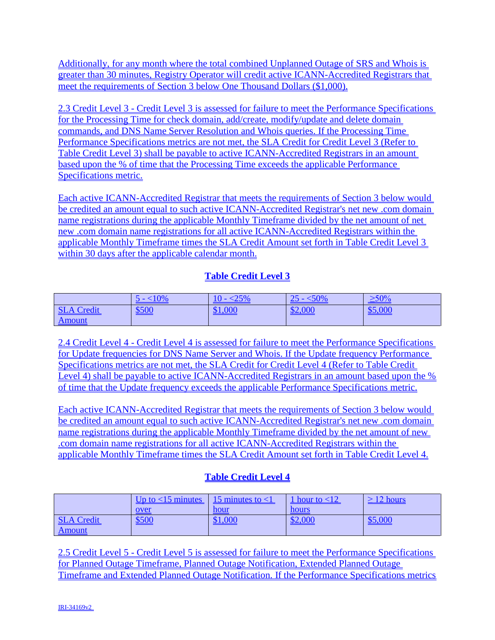Additionally, for any month where the total combined Unplanned Outage of SRS and Whois is greater than 30 minutes, Registry Operator will credit active ICANN-Accredited Registrars that meet the requirements of Section 3 below One Thousand Dollars (\$1,000).

2.3 Credit Level 3 - Credit Level 3 is assessed for failure to meet the Performance Specifications for the Processing Time for check domain, add/create, modify/update and delete domain commands, and DNS Name Server Resolution and Whois queries. If the Processing Time Performance Specifications metrics are not met, the SLA Credit for Credit Level 3 (Refer to Table Credit Level 3) shall be payable to active ICANN-Accredited Registrars in an amount based upon the % of time that the Processing Time exceeds the applicable Performance Specifications metric.

Each active ICANN-Accredited Registrar that meets the requirements of Section 3 below would be credited an amount equal to such active ICANN-Accredited Registrar's net new .com domain name registrations during the applicable Monthly Timeframe divided by the net amount of net new .com domain name registrations for all active ICANN-Accredited Registrars within the applicable Monthly Timeframe times the SLA Credit Amount set forth in Table Credit Level 3 within 30 days after the applicable calendar month.

# **Table Credit Level 3**

|                   | $10%$ | 1 <sub>0</sub><br>250/ | $\bigcap$<br>50% | $>50\%$ |
|-------------------|-------|------------------------|------------------|---------|
| <b>SLA</b> Credit | \$500 | \$1,000                | \$2,000          | \$5,000 |
| <b>Amount</b>     |       |                        |                  |         |

2.4 Credit Level 4 - Credit Level 4 is assessed for failure to meet the Performance Specifications for Update frequencies for DNS Name Server and Whois. If the Update frequency Performance Specifications metrics are not met, the SLA Credit for Credit Level 4 (Refer to Table Credit Level 4) shall be payable to active ICANN-Accredited Registrars in an amount based upon the % of time that the Update frequency exceeds the applicable Performance Specifications metric.

Each active ICANN-Accredited Registrar that meets the requirements of Section 3 below would be credited an amount equal to such active ICANN-Accredited Registrar's net new .com domain name registrations during the applicable Monthly Timeframe divided by the net amount of new .com domain name registrations for all active ICANN-Accredited Registrars within the applicable Monthly Timeframe times the SLA Credit Amount set forth in Table Credit Level 4.

# **Table Credit Level 4**

|                   | Up to $<$ 15 minutes | 15 minutes to $<$ 1 | 1 hour to $<$ 12 | $\geq$ 12 hours |
|-------------------|----------------------|---------------------|------------------|-----------------|
|                   | over                 | <u>hour</u>         | hours            |                 |
| <b>SLA</b> Credit | \$500                | \$1,000             | \$2,000          | \$5,000         |
| Amount            |                      |                     |                  |                 |

2.5 Credit Level 5 - Credit Level 5 is assessed for failure to meet the Performance Specifications for Planned Outage Timeframe, Planned Outage Notification, Extended Planned Outage Timeframe and Extended Planned Outage Notification. If the Performance Specifications metrics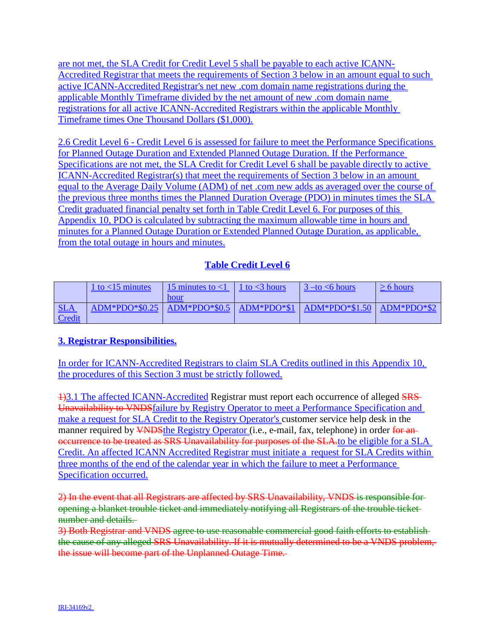are not met, the SLA Credit for Credit Level 5 shall be payable to each active ICANN-Accredited Registrar that meets the requirements of Section 3 below in an amount equal to such active ICANN-Accredited Registrar's net new .com domain name registrations during the applicable Monthly Timeframe divided by the net amount of new .com domain name registrations for all active ICANN-Accredited Registrars within the applicable Monthly Timeframe times One Thousand Dollars (\$1,000).

2.6 Credit Level 6 - Credit Level 6 is assessed for failure to meet the Performance Specifications for Planned Outage Duration and Extended Planned Outage Duration. If the Performance Specifications are not met, the SLA Credit for Credit Level 6 shall be payable directly to active ICANN-Accredited Registrar(s) that meet the requirements of Section 3 below in an amount equal to the Average Daily Volume (ADM) of net .com new adds as averaged over the course of the previous three months times the Planned Duration Overage (PDO) in minutes times the SLA Credit graduated financial penalty set forth in Table Credit Level 6. For purposes of this Appendix 10, PDO is calculated by subtracting the maximum allowable time in hours and minutes for a Planned Outage Duration or Extended Planned Outage Duration, as applicable, from the total outage in hours and minutes.

# **Table Credit Level 6**

|            | 1 to $<$ 15 minutes | 15 minutes to $<1/$ | $\pm 1$ to $\leq 3$ hours | $3$ –to $<$ 6 hours                                                      | $\geq 6$ hours |
|------------|---------------------|---------------------|---------------------------|--------------------------------------------------------------------------|----------------|
|            |                     | hour                |                           |                                                                          |                |
| <b>SLA</b> |                     |                     |                           | $ADM*PDO*$0.25   ADM*PDO*$0.5   ADM*PDO*$1   ADM*PDO*$1.50   ADM*PDO*$2$ |                |
| Credit     |                     |                     |                           |                                                                          |                |

## **3. Registrar Responsibilities.**

In order for ICANN-Accredited Registrars to claim SLA Credits outlined in this Appendix 10, the procedures of this Section 3 must be strictly followed.

1)3.1 The affected ICANN-Accredited Registrar must report each occurrence of alleged SRS Unavailability to VNDSfailure by Registry Operator to meet a Performance Specification and make a request for SLA Credit to the Registry Operator's customer service help desk in the manner required by VNDSthe Registry Operator (i.e., e-mail, fax, telephone) in order for anoccurrence to be treated as SRS Unavailability for purposes of the SLA.to be eligible for a SLA Credit. An affected ICANN Accredited Registrar must initiate a request for SLA Credits within three months of the end of the calendar year in which the failure to meet a Performance Specification occurred.

2) In the event that all Registrars are affected by SRS Unavailability, VNDS is responsible for opening a blanket trouble ticket and immediately notifying all Registrars of the trouble ticket number and details.

3) Both Registrar and VNDS agree to use reasonable commercial good faith efforts to establish the cause of any alleged SRS Unavailability. If it is mutually determined to be a VNDS problem, the issue will become part of the Unplanned Outage Time.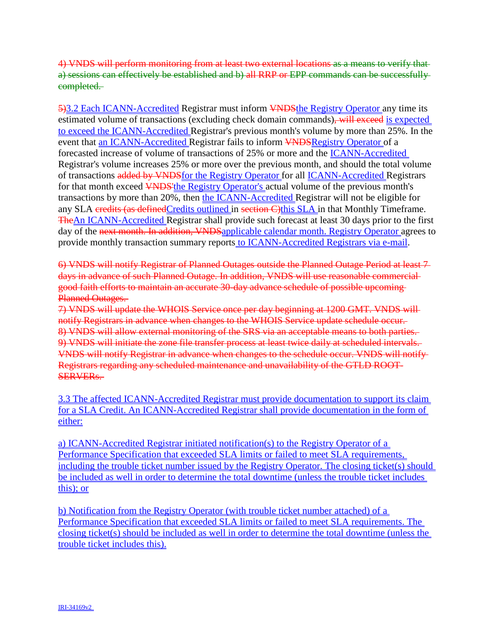4) VNDS will perform monitoring from at least two external locations as a means to verify that a) sessions can effectively be established and b) all RRP or EPP commands can be successfully completed.

5)3.2 Each ICANN-Accredited Registrar must inform VNDSthe Registry Operator any time its estimated volume of transactions (excluding check domain commands), will exceed is expected to exceed the ICANN-Accredited Registrar's previous month's volume by more than 25%. In the event that an ICANN-Accredited Registrar fails to inform VNDSRegistry Operator of a forecasted increase of volume of transactions of 25% or more and the ICANN-Accredited Registrar's volume increases 25% or more over the previous month, and should the total volume of transactions added by VNDSfor the Registry Operator for all ICANN-Accredited Registrars for that month exceed VNDS'the Registry Operator's actual volume of the previous month's transactions by more than 20%, then the ICANN-Accredited Registrar will not be eligible for any SLA credits (as defined Credits outlined in section C) this SLA in that Monthly Timeframe. TheAn ICANN-Accredited Registrar shall provide such forecast at least 30 days prior to the first day of the next month. In addition, VNDSapplicable calendar month. Registry Operator agrees to provide monthly transaction summary reports to ICANN-Accredited Registrars via e-mail.

6) VNDS will notify Registrar of Planned Outages outside the Planned Outage Period at least 7 days in advance of such Planned Outage. In addition, VNDS will use reasonable commercial good faith efforts to maintain an accurate 30-day advance schedule of possible upcoming Planned Outages.

7) VNDS will update the WHOIS Service once per day beginning at 1200 GMT. VNDS will notify Registrars in advance when changes to the WHOIS Service update schedule occur. 8) VNDS will allow external monitoring of the SRS via an acceptable means to both parties. 9) VNDS will initiate the zone file transfer process at least twice daily at scheduled intervals. VNDS will notify Registrar in advance when changes to the schedule occur. VNDS will notify Registrars regarding any scheduled maintenance and unavailability of the GTLD ROOT-SERVERs.

3.3 The affected ICANN-Accredited Registrar must provide documentation to support its claim for a SLA Credit. An ICANN-Accredited Registrar shall provide documentation in the form of either:

a) ICANN-Accredited Registrar initiated notification(s) to the Registry Operator of a Performance Specification that exceeded SLA limits or failed to meet SLA requirements, including the trouble ticket number issued by the Registry Operator. The closing ticket(s) should be included as well in order to determine the total downtime (unless the trouble ticket includes this); or

b) Notification from the Registry Operator (with trouble ticket number attached) of a Performance Specification that exceeded SLA limits or failed to meet SLA requirements. The closing ticket(s) should be included as well in order to determine the total downtime (unless the trouble ticket includes this).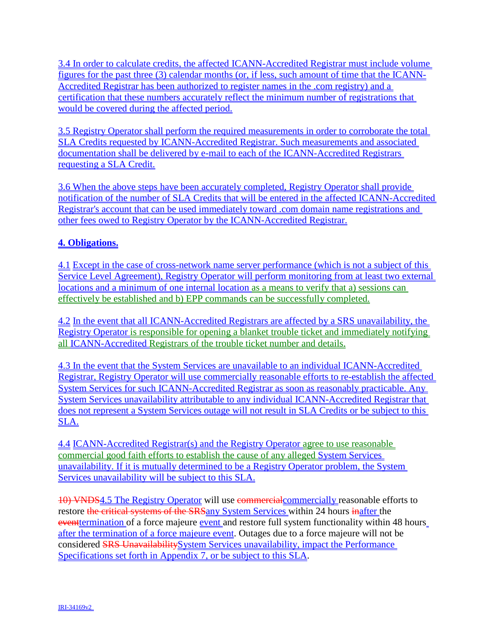3.4 In order to calculate credits, the affected ICANN-Accredited Registrar must include volume figures for the past three (3) calendar months (or, if less, such amount of time that the ICANN-Accredited Registrar has been authorized to register names in the .com registry) and a certification that these numbers accurately reflect the minimum number of registrations that would be covered during the affected period.

3.5 Registry Operator shall perform the required measurements in order to corroborate the total SLA Credits requested by ICANN-Accredited Registrar. Such measurements and associated documentation shall be delivered by e-mail to each of the ICANN-Accredited Registrars requesting a SLA Credit.

3.6 When the above steps have been accurately completed, Registry Operator shall provide notification of the number of SLA Credits that will be entered in the affected ICANN-Accredited Registrar's account that can be used immediately toward .com domain name registrations and other fees owed to Registry Operator by the ICANN-Accredited Registrar.

## **4. Obligations.**

4.1 Except in the case of cross-network name server performance (which is not a subject of this Service Level Agreement), Registry Operator will perform monitoring from at least two external locations and a minimum of one internal location as a means to verify that a) sessions can effectively be established and b) EPP commands can be successfully completed.

4.2 In the event that all ICANN-Accredited Registrars are affected by a SRS unavailability, the Registry Operator is responsible for opening a blanket trouble ticket and immediately notifying all ICANN-Accredited Registrars of the trouble ticket number and details.

4.3 In the event that the System Services are unavailable to an individual ICANN-Accredited Registrar, Registry Operator will use commercially reasonable efforts to re-establish the affected System Services for such ICANN-Accredited Registrar as soon as reasonably practicable. Any System Services unavailability attributable to any individual ICANN-Accredited Registrar that does not represent a System Services outage will not result in SLA Credits or be subject to this SLA.

4.4 ICANN-Accredited Registrar(s) and the Registry Operator agree to use reasonable commercial good faith efforts to establish the cause of any alleged System Services unavailability. If it is mutually determined to be a Registry Operator problem, the System Services unavailability will be subject to this SLA.

10) VNDS4.5 The Registry Operator will use commercialcommercially reasonable efforts to restore the critical systems of the SRSany System Services within 24 hours inafter the eventtermination of a force majeure event and restore full system functionality within 48 hours after the termination of a force majeure event. Outages due to a force majeure will not be considered SRS UnavailabilitySystem Services unavailability, impact the Performance Specifications set forth in Appendix 7, or be subject to this SLA.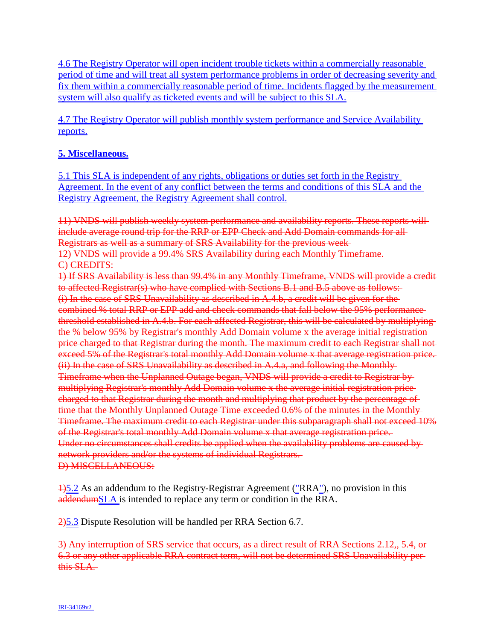4.6 The Registry Operator will open incident trouble tickets within a commercially reasonable period of time and will treat all system performance problems in order of decreasing severity and fix them within a commercially reasonable period of time. Incidents flagged by the measurement system will also qualify as ticketed events and will be subject to this SLA.

4.7 The Registry Operator will publish monthly system performance and Service Availability reports.

## **5. Miscellaneous.**

5.1 This SLA is independent of any rights, obligations or duties set forth in the Registry Agreement. In the event of any conflict between the terms and conditions of this SLA and the Registry Agreement, the Registry Agreement shall control.

11) VNDS will publish weekly system performance and availability reports. These reports will include average round trip for the RRP or EPP Check and Add Domain commands for all Registrars as well as a summary of SRS Availability for the previous week 12) VNDS will provide a 99.4% SRS Availability during each Monthly Timeframe.

C) CREDITS:

1) If SRS Availability is less than 99.4% in any Monthly Timeframe, VNDS will provide a credit to affected Registrar(s) who have complied with Sections B.1 and B.5 above as follows: (i) In the case of SRS Unavailability as described in A.4.b, a credit will be given for the combined % total RRP or EPP add and check commands that fall below the 95% performance threshold established in A.4.b. For each affected Registrar, this will be calculated by multiplying the % below 95% by Registrar's monthly Add Domain volume x the average initial registration price charged to that Registrar during the month. The maximum credit to each Registrar shall not exceed 5% of the Registrar's total monthly Add Domain volume x that average registration price.  $(i)$  In the case of SRS Unavailability as described in  $A.4.a$ , and following the Monthly-Timeframe when the Unplanned Outage began, VNDS will provide a credit to Registrar by multiplying Registrar's monthly Add Domain volume x the average initial registration price charged to that Registrar during the month and multiplying that product by the percentage of time that the Monthly Unplanned Outage Time exceeded 0.6% of the minutes in the Monthly Timeframe. The maximum credit to each Registrar under this subparagraph shall not exceed 10% of the Registrar's total monthly Add Domain volume x that average registration price. Under no circumstances shall credits be applied when the availability problems are caused by network providers and/or the systems of individual Registrars. D) MISCELLANEOUS:

 $\frac{1}{5.2}$  As an addendum to the Registry-Registrar Agreement ("RRA"), no provision in this addendumSLA is intended to replace any term or condition in the RRA.

205.3 Dispute Resolution will be handled per RRA Section 6.7.

3) Any interruption of SRS service that occurs, as a direct result of RRA Sections 2.12,, 5.4, or 6.3 or any other applicable RRA contract term, will not be determined SRS Unavailability per this SLA.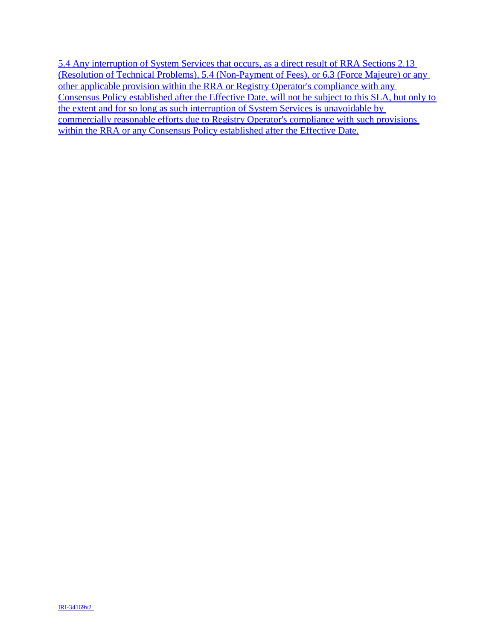5.4 Any interruption of System Services that occurs, as a direct result of RRA Sections 2.13 (Resolution of Technical Problems), 5.4 (Non-Payment of Fees), or 6.3 (Force Majeure) or any other applicable provision within the RRA or Registry Operator's compliance with any Consensus Policy established after the Effective Date, will not be subject to this SLA, but only to the extent and for so long as such interruption of System Services is unavoidable by commercially reasonable efforts due to Registry Operator's compliance with such provisions within the RRA or any Consensus Policy established after the Effective Date.